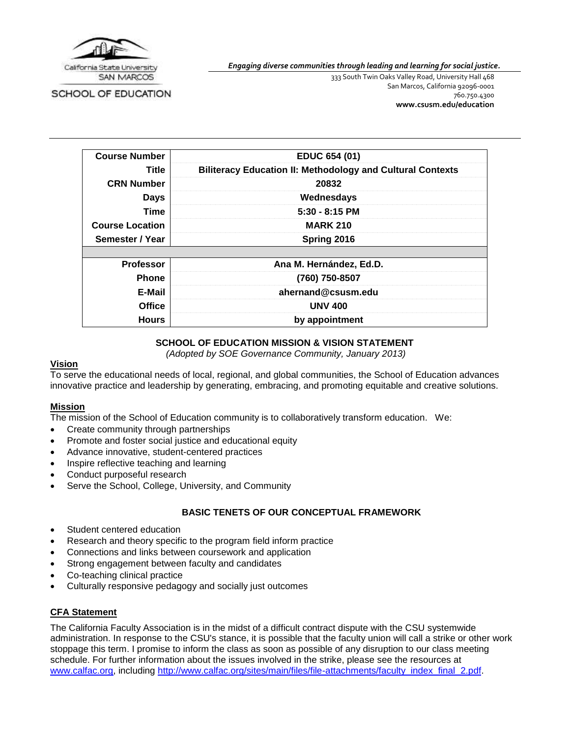

SCHOOL OF EDUCATION

*Engaging diverse communities through leading and learning for social justice.*

333 South Twin Oaks Valley Road, University Hall 468 San Marcos, California 92096-0001 760.750.4300 **[www.csusm.edu/education](http://www.csusm.edu/education)**

| <b>Course Number</b>   | EDUC 654 (01)                                                     |
|------------------------|-------------------------------------------------------------------|
| Title                  | <b>Biliteracy Education II: Methodology and Cultural Contexts</b> |
| <b>CRN Number</b>      | 20832                                                             |
| <b>Days</b>            | Wednesdays                                                        |
| <b>Time</b>            | $5:30 - 8:15$ PM                                                  |
| <b>Course Location</b> | <b>MARK 210</b>                                                   |
| Semester / Year        | Spring 2016                                                       |
|                        |                                                                   |
| <b>Professor</b>       | Ana M. Hernández, Ed.D.                                           |
| <b>Phone</b>           | (760) 750-8507                                                    |
| E-Mail                 | ahernand@csusm.edu                                                |
| <b>Office</b>          | <b>UNV 400</b>                                                    |
| <b>Hours</b>           | by appointment                                                    |

#### **SCHOOL OF EDUCATION MISSION & VISION STATEMENT**

*(Adopted by SOE Governance Community, January 2013)*

#### **Vision**

To serve the educational needs of local, regional, and global communities, the School of Education advances innovative practice and leadership by generating, embracing, and promoting equitable and creative solutions.

#### **Mission**

The mission of the School of Education community is to collaboratively transform education. We:

- Create community through partnerships
- Promote and foster social justice and educational equity
- Advance innovative, student-centered practices
- Inspire reflective teaching and learning
- Conduct purposeful research
- Serve the School, College, University, and Community

#### **BASIC TENETS OF OUR CONCEPTUAL FRAMEWORK**

- Student centered education
- Research and theory specific to the program field inform practice
- Connections and links between coursework and application
- Strong engagement between faculty and candidates
- Co-teaching clinical practice
- Culturally responsive pedagogy and socially just outcomes

#### **CFA Statement**

The California Faculty Association is in the midst of a difficult contract dispute with the CSU systemwide administration. In response to the CSU's stance, it is possible that the faculty union will call a strike or other work stoppage this term. I promise to inform the class as soon as possible of any disruption to our class meeting schedule. For further information about the issues involved in the strike, please see the resources at [www.calfac.org,](http://www.calfac.org/) including [http://www.calfac.org/sites/main/files/file-attachments/faculty\\_index\\_final\\_2.pdf.](http://www.calfac.org/sites/main/files/file-attachments/faculty_index_final_2.pdf)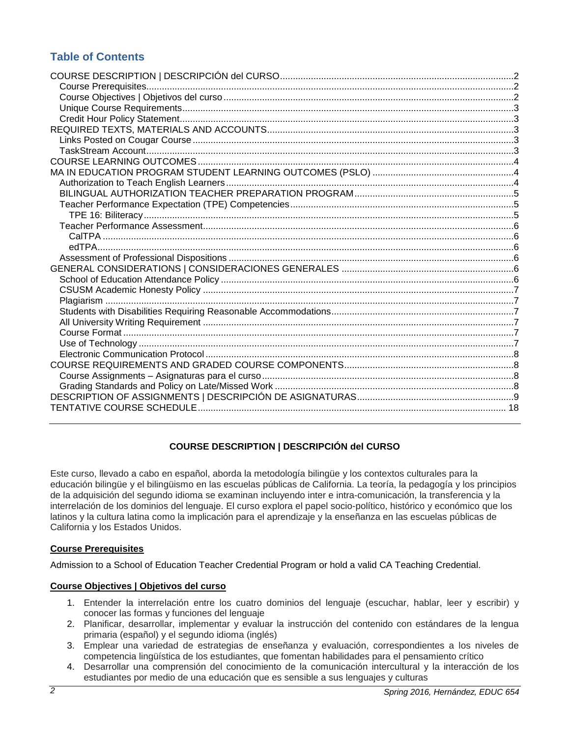# **Table of Contents**

## **COURSE DESCRIPTION | DESCRIPCIÓN del CURSO**

<span id="page-1-0"></span>Este curso, llevado a cabo en español, aborda la metodología bilingüe y los contextos culturales para la educación bilingüe y el bilingüismo en las escuelas públicas de California. La teoría, la pedagogía y los principios de la adquisición del segundo idioma se examinan incluyendo inter e intra-comunicación, la transferencia y la interrelación de los dominios del lenguaje. El curso explora el papel socio-político, histórico y económico que los latinos y la cultura latina como la implicación para el aprendizaje y la enseñanza en las escuelas públicas de California y los Estados Unidos.

#### <span id="page-1-1"></span>**Course Prerequisites**

Admission to a School of Education Teacher Credential Program or hold a valid CA Teaching Credential.

#### <span id="page-1-2"></span>**Course Objectives | Objetivos del curso**

- 1. Entender la interrelación entre los cuatro dominios del lenguaje (escuchar, hablar, leer y escribir) y conocer las formas y funciones del lenguaje
- 2. Planificar, desarrollar, implementar y evaluar la instrucción del contenido con estándares de la lengua primaria (español) y el segundo idioma (inglés)
- 3. Emplear una variedad de estrategias de enseñanza y evaluación, correspondientes a los niveles de competencia lingüística de los estudiantes, que fomentan habilidades para el pensamiento crítico
- 4. Desarrollar una comprensión del conocimiento de la comunicación intercultural y la interacción de los estudiantes por medio de una educación que es sensible a sus lenguajes y culturas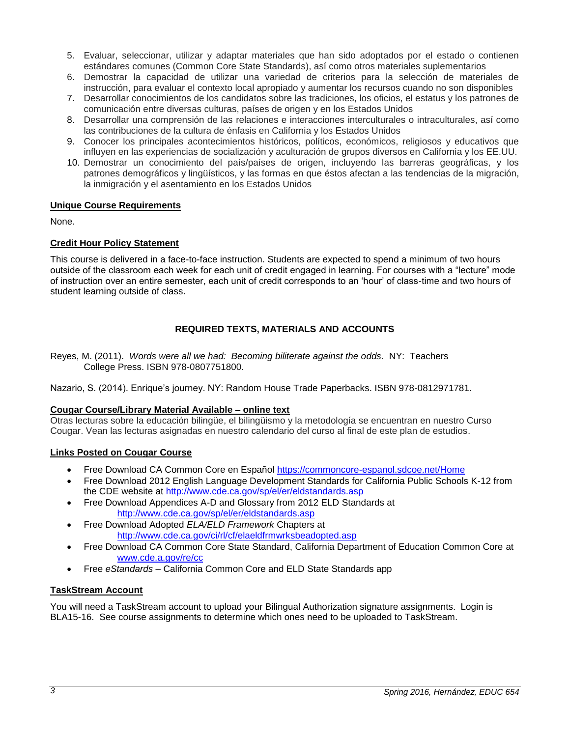- 5. Evaluar, seleccionar, utilizar y adaptar materiales que han sido adoptados por el estado o contienen estándares comunes (Common Core State Standards), así como otros materiales suplementarios
- 6. Demostrar la capacidad de utilizar una variedad de criterios para la selección de materiales de instrucción, para evaluar el contexto local apropiado y aumentar los recursos cuando no son disponibles
- 7. Desarrollar conocimientos de los candidatos sobre las tradiciones, los oficios, el estatus y los patrones de comunicación entre diversas culturas, países de origen y en los Estados Unidos
- 8. Desarrollar una comprensión de las relaciones e interacciones interculturales o intraculturales, así como las contribuciones de la cultura de énfasis en California y los Estados Unidos
- 9. Conocer los principales acontecimientos históricos, políticos, económicos, religiosos y educativos que influyen en las experiencias de socialización y aculturación de grupos diversos en California y los EE.UU.
- 10. Demostrar un conocimiento del país/países de origen, incluyendo las barreras geográficas, y los patrones demográficos y lingüísticos, y las formas en que éstos afectan a las tendencias de la migración, la inmigración y el asentamiento en los Estados Unidos

#### <span id="page-2-0"></span>**Unique Course Requirements**

None.

## <span id="page-2-1"></span>**Credit Hour Policy Statement**

This course is delivered in a face-to-face instruction. Students are expected to spend a minimum of two hours outside of the classroom each week for each unit of credit engaged in learning. For courses with a "lecture" mode of instruction over an entire semester, each unit of credit corresponds to an 'hour' of class-time and two hours of student learning outside of class.

## **REQUIRED TEXTS, MATERIALS AND ACCOUNTS**

<span id="page-2-2"></span>Reyes, M. (2011). *Words were all we had: Becoming biliterate against the odds.* NY: Teachers College Press. ISBN 978-0807751800.

Nazario, S. (2014). Enrique's journey. NY: Random House Trade Paperbacks. ISBN 978-0812971781.

#### **Cougar Course/Library Material Available – online text**

Otras lecturas sobre la educación bilingüe, el bilingüismo y la metodología se encuentran en nuestro Curso Cougar. Vean las lecturas asignadas en nuestro calendario del curso al final de este plan de estudios.

#### <span id="page-2-3"></span>**Links Posted on Cougar Course**

- Free Download CA Common Core en Español<https://commoncore-espanol.sdcoe.net/Home>
- Free Download 2012 English Language Development Standards for California Public Schools K-12 from the CDE website at<http://www.cde.ca.gov/sp/el/er/eldstandards.asp>
- Free Download Appendices A-D and Glossary from 2012 ELD Standards at <http://www.cde.ca.gov/sp/el/er/eldstandards.asp>
- Free Download Adopted *ELA/ELD Framework* Chapters at <http://www.cde.ca.gov/ci/rl/cf/elaeldfrmwrksbeadopted.asp>
- Free Download CA Common Core State Standard, California Department of Education Common Core at [www.cde.a.gov/re/cc](http://www.cde.a.gov/re/cc)
- Free *eStandards*  California Common Core and ELD State Standards app

#### <span id="page-2-4"></span>**TaskStream Account**

You will need a TaskStream account to upload your Bilingual Authorization signature assignments. Login is BLA15-16. See course assignments to determine which ones need to be uploaded to TaskStream.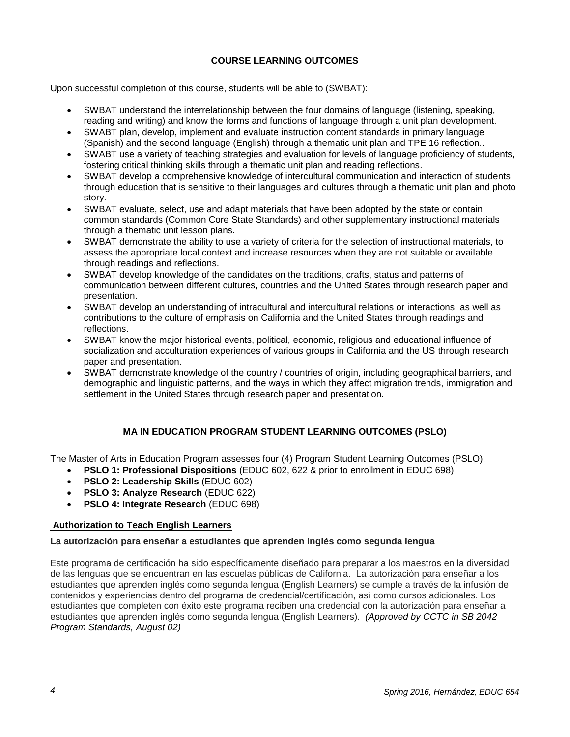## **COURSE LEARNING OUTCOMES**

<span id="page-3-0"></span>Upon successful completion of this course, students will be able to (SWBAT):

- SWBAT understand the interrelationship between the four domains of language (listening, speaking, reading and writing) and know the forms and functions of language through a unit plan development.
- SWABT plan, develop, implement and evaluate instruction content standards in primary language (Spanish) and the second language (English) through a thematic unit plan and TPE 16 reflection..
- SWABT use a variety of teaching strategies and evaluation for levels of language proficiency of students, fostering critical thinking skills through a thematic unit plan and reading reflections.
- SWBAT develop a comprehensive knowledge of intercultural communication and interaction of students through education that is sensitive to their languages and cultures through a thematic unit plan and photo story.
- SWBAT evaluate, select, use and adapt materials that have been adopted by the state or contain common standards (Common Core State Standards) and other supplementary instructional materials through a thematic unit lesson plans.
- SWBAT demonstrate the ability to use a variety of criteria for the selection of instructional materials, to assess the appropriate local context and increase resources when they are not suitable or available through readings and reflections.
- SWBAT develop knowledge of the candidates on the traditions, crafts, status and patterns of communication between different cultures, countries and the United States through research paper and presentation.
- SWBAT develop an understanding of intracultural and intercultural relations or interactions, as well as contributions to the culture of emphasis on California and the United States through readings and reflections.
- SWBAT know the major historical events, political, economic, religious and educational influence of socialization and acculturation experiences of various groups in California and the US through research paper and presentation.
- SWBAT demonstrate knowledge of the country / countries of origin, including geographical barriers, and demographic and linguistic patterns, and the ways in which they affect migration trends, immigration and settlement in the United States through research paper and presentation.

## **MA IN EDUCATION PROGRAM STUDENT LEARNING OUTCOMES (PSLO)**

<span id="page-3-1"></span>The Master of Arts in Education Program assesses four (4) Program Student Learning Outcomes (PSLO).

- **PSLO 1: Professional Dispositions** (EDUC 602, 622 & prior to enrollment in EDUC 698)
	- **PSLO 2: Leadership Skills** (EDUC 602)
	- **PSLO 3: Analyze Research** (EDUC 622)
	- **PSLO 4: Integrate Research** (EDUC 698)

#### <span id="page-3-2"></span>**Authorization to Teach English Learners**

#### **La autorización para enseñar a estudiantes que aprenden inglés como segunda lengua**

<span id="page-3-3"></span>Este programa de certificación ha sido específicamente diseñado para preparar a los maestros en la diversidad de las lenguas que se encuentran en las escuelas públicas de California. La autorización para enseñar a los estudiantes que aprenden inglés como segunda lengua (English Learners) se cumple a través de la infusión de contenidos y experiencias dentro del programa de credencial/certificación, así como cursos adicionales. Los estudiantes que completen con éxito este programa reciben una credencial con la autorización para enseñar a estudiantes que aprenden inglés como segunda lengua (English Learners). *(Approved by CCTC in SB 2042 Program Standards, August 02)*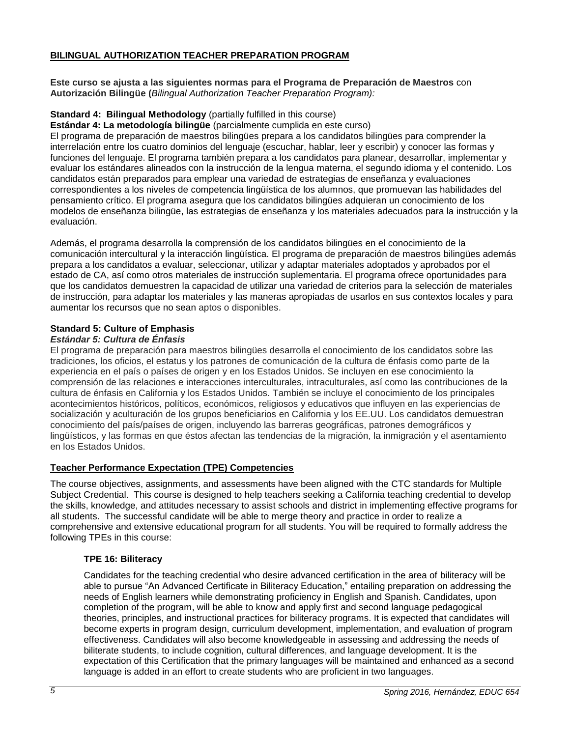#### **BILINGUAL AUTHORIZATION TEACHER PREPARATION PROGRAM**

**Este curso se ajusta a las siguientes normas para el Programa de Preparación de Maestros** con **Autorización Bilingüe (***Bilingual Authorization Teacher Preparation Program):*

#### **Standard 4: Bilingual Methodology** (partially fulfilled in this course)

**Estándar 4: La metodología bilingüe** (parcialmente cumplida en este curso)

El programa de preparación de maestros bilingües prepara a los candidatos bilingües para comprender la interrelación entre los cuatro dominios del lenguaje (escuchar, hablar, leer y escribir) y conocer las formas y funciones del lenguaje. El programa también prepara a los candidatos para planear, desarrollar, implementar y evaluar los estándares alineados con la instrucción de la lengua materna, el segundo idioma y el contenido. Los candidatos están preparados para emplear una variedad de estrategias de enseñanza y evaluaciones correspondientes a los niveles de competencia lingüística de los alumnos, que promuevan las habilidades del pensamiento crítico. El programa asegura que los candidatos bilingües adquieran un conocimiento de los modelos de enseñanza bilingüe, las estrategias de enseñanza y los materiales adecuados para la instrucción y la evaluación.

Además, el programa desarrolla la comprensión de los candidatos bilingües en el conocimiento de la comunicación intercultural y la interacción lingüística. El programa de preparación de maestros bilingües además prepara a los candidatos a evaluar, seleccionar, utilizar y adaptar materiales adoptados y aprobados por el estado de CA, así como otros materiales de instrucción suplementaria. El programa ofrece oportunidades para que los candidatos demuestren la capacidad de utilizar una variedad de criterios para la selección de materiales de instrucción, para adaptar los materiales y las maneras apropiadas de usarlos en sus contextos locales y para aumentar los recursos que no sean aptos o disponibles.

#### **Standard 5: Culture of Emphasis**

#### *Estándar 5: Cultura de Énfasis*

El programa de preparación para maestros bilingües desarrolla el conocimiento de los candidatos sobre las tradiciones, los oficios, el estatus y los patrones de comunicación de la cultura de énfasis como parte de la experiencia en el país o países de origen y en los Estados Unidos. Se incluyen en ese conocimiento la comprensión de las relaciones e interacciones interculturales, intraculturales, así como las contribuciones de la cultura de énfasis en California y los Estados Unidos. También se incluye el conocimiento de los principales acontecimientos históricos, políticos, económicos, religiosos y educativos que influyen en las experiencias de socialización y aculturación de los grupos beneficiarios en California y los EE.UU. Los candidatos demuestran conocimiento del país/países de origen, incluyendo las barreras geográficas, patrones demográficos y lingüísticos, y las formas en que éstos afectan las tendencias de la migración, la inmigración y el asentamiento en los Estados Unidos.

#### <span id="page-4-0"></span>**Teacher Performance Expectation (TPE) Competencies**

The course objectives, assignments, and assessments have been aligned with the CTC standards for Multiple Subject Credential. This course is designed to help teachers seeking a California teaching credential to develop the skills, knowledge, and attitudes necessary to assist schools and district in implementing effective programs for all students. The successful candidate will be able to merge theory and practice in order to realize a comprehensive and extensive educational program for all students. You will be required to formally address the following TPEs in this course:

#### <span id="page-4-1"></span>**TPE 16: Biliteracy**

Candidates for the teaching credential who desire advanced certification in the area of biliteracy will be able to pursue "An Advanced Certificate in Biliteracy Education," entailing preparation on addressing the needs of English learners while demonstrating proficiency in English and Spanish. Candidates, upon completion of the program, will be able to know and apply first and second language pedagogical theories, principles, and instructional practices for biliteracy programs. It is expected that candidates will become experts in program design, curriculum development, implementation, and evaluation of program effectiveness. Candidates will also become knowledgeable in assessing and addressing the needs of biliterate students, to include cognition, cultural differences, and language development. It is the expectation of this Certification that the primary languages will be maintained and enhanced as a second language is added in an effort to create students who are proficient in two languages.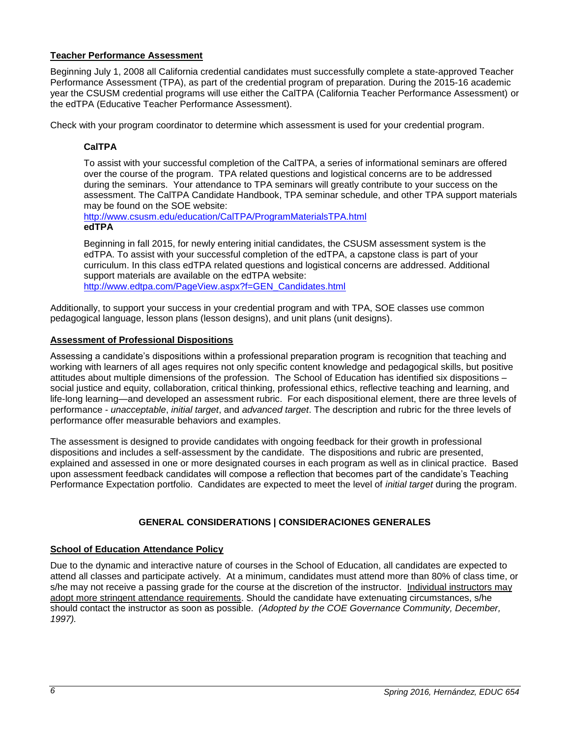#### <span id="page-5-0"></span>**Teacher Performance Assessment**

Beginning July 1, 2008 all California credential candidates must successfully complete a state-approved Teacher Performance Assessment (TPA), as part of the credential program of preparation. During the 2015-16 academic year the CSUSM credential programs will use either the CalTPA (California Teacher Performance Assessment) or the edTPA (Educative Teacher Performance Assessment).

<span id="page-5-1"></span>Check with your program coordinator to determine which assessment is used for your credential program.

### **CalTPA**

To assist with your successful completion of the CalTPA, a series of informational seminars are offered over the course of the program. TPA related questions and logistical concerns are to be addressed during the seminars. Your attendance to TPA seminars will greatly contribute to your success on the assessment. The CalTPA Candidate Handbook, TPA seminar schedule, and other TPA support materials may be found on the SOE website:

<span id="page-5-2"></span><http://www.csusm.edu/education/CalTPA/ProgramMaterialsTPA.html> **edTPA**

Beginning in fall 2015, for newly entering initial candidates, the CSUSM assessment system is the edTPA. To assist with your successful completion of the edTPA, a capstone class is part of your curriculum. In this class edTPA related questions and logistical concerns are addressed. Additional support materials are available on the edTPA website: [http://www.edtpa.com/PageView.aspx?f=GEN\\_Candidates.html](http://www.edtpa.com/PageView.aspx?f=GEN_Candidates.html)

Additionally, to support your success in your credential program and with TPA, SOE classes use common pedagogical language, lesson plans (lesson designs), and unit plans (unit designs).

#### <span id="page-5-3"></span>**Assessment of Professional Dispositions**

Assessing a candidate's dispositions within a professional preparation program is recognition that teaching and working with learners of all ages requires not only specific content knowledge and pedagogical skills, but positive attitudes about multiple dimensions of the profession. The School of Education has identified six dispositions – social justice and equity, collaboration, critical thinking, professional ethics, reflective teaching and learning, and life-long learning—and developed an assessment rubric. For each dispositional element, there are three levels of performance - *unacceptable*, *initial target*, and *advanced target*. The description and rubric for the three levels of performance offer measurable behaviors and examples.

The assessment is designed to provide candidates with ongoing feedback for their growth in professional dispositions and includes a self-assessment by the candidate. The dispositions and rubric are presented, explained and assessed in one or more designated courses in each program as well as in clinical practice. Based upon assessment feedback candidates will compose a reflection that becomes part of the candidate's Teaching Performance Expectation portfolio. Candidates are expected to meet the level of *initial target* during the program.

#### **GENERAL CONSIDERATIONS | CONSIDERACIONES GENERALES**

#### <span id="page-5-5"></span><span id="page-5-4"></span>**School of Education Attendance Policy**

Due to the dynamic and interactive nature of courses in the School of Education, all candidates are expected to attend all classes and participate actively. At a minimum, candidates must attend more than 80% of class time, or s/he may not receive a passing grade for the course at the discretion of the instructor. Individual instructors may adopt more stringent attendance requirements. Should the candidate have extenuating circumstances, s/he should contact the instructor as soon as possible. *(Adopted by the COE Governance Community, December, 1997).*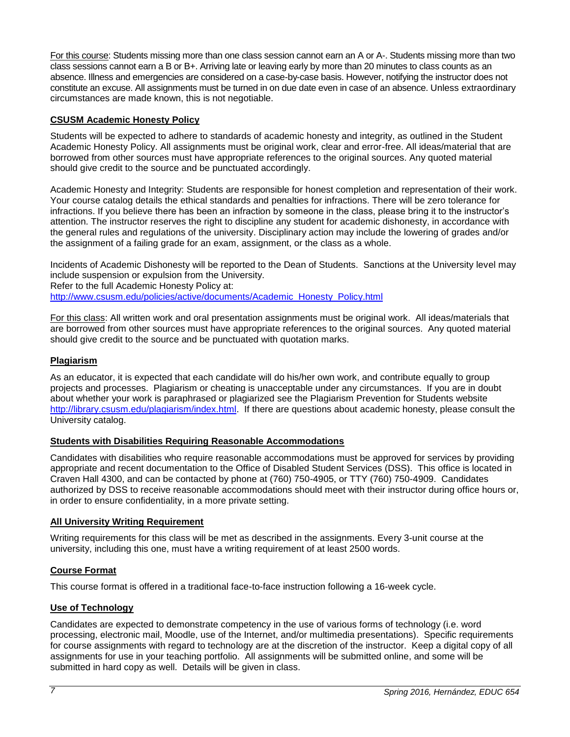For this course: Students missing more than one class session cannot earn an A or A-. Students missing more than two class sessions cannot earn a B or B+. Arriving late or leaving early by more than 20 minutes to class counts as an absence. Illness and emergencies are considered on a case-by-case basis. However, notifying the instructor does not constitute an excuse. All assignments must be turned in on due date even in case of an absence. Unless extraordinary circumstances are made known, this is not negotiable.

## <span id="page-6-0"></span>**CSUSM Academic Honesty Policy**

Students will be expected to adhere to standards of academic honesty and integrity, as outlined in the Student Academic Honesty Policy. All assignments must be original work, clear and error-free. All ideas/material that are borrowed from other sources must have appropriate references to the original sources. Any quoted material should give credit to the source and be punctuated accordingly.

Academic Honesty and Integrity: Students are responsible for honest completion and representation of their work. Your course catalog details the ethical standards and penalties for infractions. There will be zero tolerance for infractions. If you believe there has been an infraction by someone in the class, please bring it to the instructor's attention. The instructor reserves the right to discipline any student for academic dishonesty, in accordance with the general rules and regulations of the university. Disciplinary action may include the lowering of grades and/or the assignment of a failing grade for an exam, assignment, or the class as a whole.

Incidents of Academic Dishonesty will be reported to the Dean of Students. Sanctions at the University level may include suspension or expulsion from the University. Refer to the full Academic Honesty Policy at: [http://www.csusm.edu/policies/active/documents/Academic\\_Honesty\\_Policy.html](http://www.csusm.edu/policies/active/documents/Academic_Honesty_Policy.html)

For this class: All written work and oral presentation assignments must be original work. All ideas/materials that are borrowed from other sources must have appropriate references to the original sources. Any quoted material should give credit to the source and be punctuated with quotation marks.

## <span id="page-6-1"></span>**Plagiarism**

As an educator, it is expected that each candidate will do his/her own work, and contribute equally to group projects and processes. Plagiarism or cheating is unacceptable under any circumstances. If you are in doubt about whether your work is paraphrased or plagiarized see the Plagiarism Prevention for Students website [http://library.csusm.edu/plagiarism/index.html.](http://library.csusm.edu/plagiarism/index.html) If there are questions about academic honesty, please consult the University catalog.

## <span id="page-6-2"></span>**Students with Disabilities Requiring Reasonable Accommodations**

Candidates with disabilities who require reasonable accommodations must be approved for services by providing appropriate and recent documentation to the Office of Disabled Student Services (DSS). This office is located in Craven Hall 4300, and can be contacted by phone at (760) 750-4905, or TTY (760) 750-4909. Candidates authorized by DSS to receive reasonable accommodations should meet with their instructor during office hours or, in order to ensure confidentiality, in a more private setting.

## <span id="page-6-3"></span>**All University Writing Requirement**

Writing requirements for this class will be met as described in the assignments. Every 3-unit course at the university, including this one, must have a writing requirement of at least 2500 words.

#### <span id="page-6-4"></span>**Course Format**

This course format is offered in a traditional face-to-face instruction following a 16-week cycle.

#### <span id="page-6-5"></span>**Use of Technology**

Candidates are expected to demonstrate competency in the use of various forms of technology (i.e. word processing, electronic mail, Moodle, use of the Internet, and/or multimedia presentations). Specific requirements for course assignments with regard to technology are at the discretion of the instructor. Keep a digital copy of all assignments for use in your teaching portfolio. All assignments will be submitted online, and some will be submitted in hard copy as well. Details will be given in class.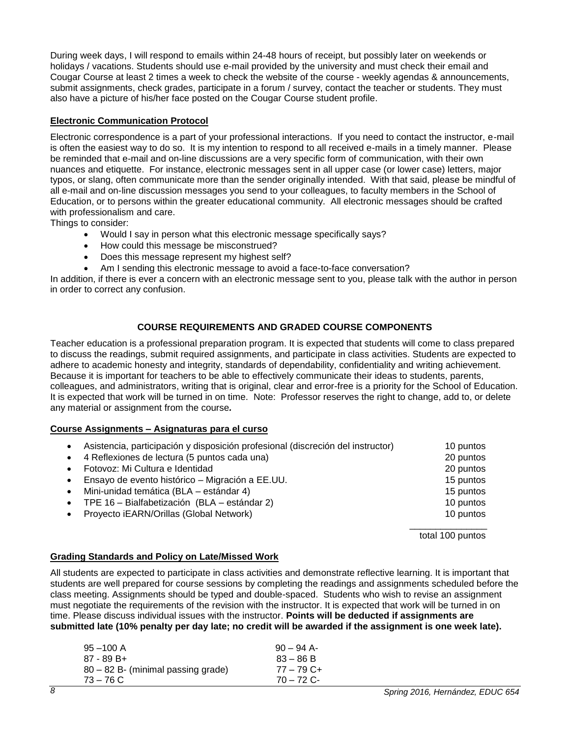During week days, I will respond to emails within 24-48 hours of receipt, but possibly later on weekends or holidays / vacations. Students should use e-mail provided by the university and must check their email and Cougar Course at least 2 times a week to check the website of the course - weekly agendas & announcements, submit assignments, check grades, participate in a forum / survey, contact the teacher or students. They must also have a picture of his/her face posted on the Cougar Course student profile.

## <span id="page-7-0"></span>**Electronic Communication Protocol**

Electronic correspondence is a part of your professional interactions. If you need to contact the instructor, e-mail is often the easiest way to do so. It is my intention to respond to all received e-mails in a timely manner. Please be reminded that e-mail and on-line discussions are a very specific form of communication, with their own nuances and etiquette. For instance, electronic messages sent in all upper case (or lower case) letters, major typos, or slang, often communicate more than the sender originally intended. With that said, please be mindful of all e-mail and on-line discussion messages you send to your colleagues, to faculty members in the School of Education, or to persons within the greater educational community. All electronic messages should be crafted with professionalism and care.

Things to consider:

- Would I say in person what this electronic message specifically says?
- How could this message be misconstrued?
- Does this message represent my highest self?
- Am I sending this electronic message to avoid a face-to-face conversation?

In addition, if there is ever a concern with an electronic message sent to you, please talk with the author in person in order to correct any confusion.

## **COURSE REQUIREMENTS AND GRADED COURSE COMPONENTS**

<span id="page-7-1"></span>Teacher education is a professional preparation program. It is expected that students will come to class prepared to discuss the readings, submit required assignments, and participate in class activities. Students are expected to adhere to academic honesty and integrity, standards of dependability, confidentiality and writing achievement. Because it is important for teachers to be able to effectively communicate their ideas to students, parents, colleagues, and administrators, writing that is original, clear and error-free is a priority for the School of Education. It is expected that work will be turned in on time. Note: Professor reserves the right to change, add to, or delete any material or assignment from the course*.*

#### <span id="page-7-2"></span>**Course Assignments – Asignaturas para el curso**

| $\bullet$ | Asistencia, participación y disposición profesional (discreción del instructor) | 10 puntos |
|-----------|---------------------------------------------------------------------------------|-----------|
|           | • 4 Reflexiones de lectura (5 puntos cada una)                                  | 20 puntos |
| $\bullet$ | Fotovoz: Mi Cultura e Identidad                                                 | 20 puntos |
| $\bullet$ | Ensayo de evento histórico - Migración a EE.UU.                                 | 15 puntos |
| $\bullet$ | Mini-unidad temática (BLA – estándar 4)                                         | 15 puntos |
| $\bullet$ | TPE 16 - Bialfabetización (BLA - estándar 2)                                    | 10 puntos |
| $\bullet$ | Proyecto iEARN/Orillas (Global Network)                                         | 10 puntos |
|           |                                                                                 |           |

total 100 puntos

#### <span id="page-7-3"></span>**Grading Standards and Policy on Late/Missed Work**

All students are expected to participate in class activities and demonstrate reflective learning. It is important that students are well prepared for course sessions by completing the readings and assignments scheduled before the class meeting. Assignments should be typed and double-spaced. Students who wish to revise an assignment must negotiate the requirements of the revision with the instructor. It is expected that work will be turned in on time. Please discuss individual issues with the instructor. **Points will be deducted if assignments are submitted late (10% penalty per day late; no credit will be awarded if the assignment is one week late).** 

| $95 - 100$ A                       | $90 - 94$ A- |
|------------------------------------|--------------|
| $87 - 89B +$                       | $83 - 86 B$  |
| 80 – 82 B- (minimal passing grade) | $77 - 79$ C+ |
| $73 - 76$ C                        | 70 – 72 C-   |
|                                    |              |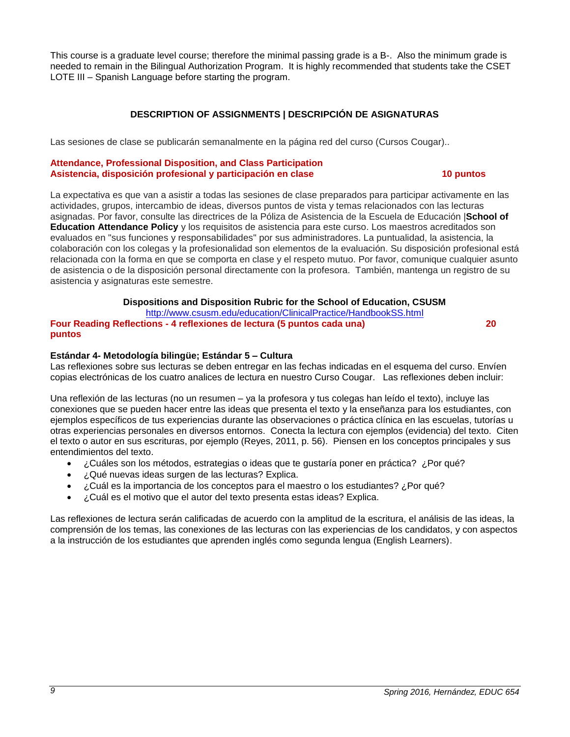This course is a graduate level course; therefore the minimal passing grade is a B-. Also the minimum grade is needed to remain in the Bilingual Authorization Program. It is highly recommended that students take the CSET LOTE III – Spanish Language before starting the program.

## **DESCRIPTION OF ASSIGNMENTS | DESCRIPCIÓN DE ASIGNATURAS**

<span id="page-8-0"></span>Las sesiones de clase se publicarán semanalmente en la página red del curso (Cursos Cougar)..

#### **Attendance, Professional Disposition, and Class Participation Asistencia, disposición profesional y participación en clase 10 puntos**

La expectativa es que van a asistir a todas las sesiones de clase preparados para participar activamente en las actividades, grupos, intercambio de ideas, diversos puntos de vista y temas relacionados con las lecturas asignadas. Por favor, consulte las directrices de la Póliza de Asistencia de la Escuela de Educación |**School of Education Attendance Policy** y los requisitos de asistencia para este curso. Los maestros acreditados son evaluados en "sus funciones y responsabilidades" por sus administradores. La puntualidad, la asistencia, la colaboración con los colegas y la profesionalidad son elementos de la evaluación. Su disposición profesional está relacionada con la forma en que se comporta en clase y el respeto mutuo. Por favor, comunique cualquier asunto de asistencia o de la disposición personal directamente con la profesora. También, mantenga un registro de su asistencia y asignaturas este semestre.

#### **Dispositions and Disposition Rubric for the School of Education, CSUSM**

<http://www.csusm.edu/education/ClinicalPractice/HandbookSS.html>

**Four Reading Reflections - 4 reflexiones de lectura (5 puntos cada una) 20 puntos**

#### **Estándar 4- Metodología bilingüe; Estándar 5 – Cultura**

Las reflexiones sobre sus lecturas se deben entregar en las fechas indicadas en el esquema del curso. Envíen copias electrónicas de los cuatro analices de lectura en nuestro Curso Cougar. Las reflexiones deben incluir:

Una reflexión de las lecturas (no un resumen – ya la profesora y tus colegas han leído el texto), incluye las conexiones que se pueden hacer entre las ideas que presenta el texto y la enseñanza para los estudiantes, con ejemplos específicos de tus experiencias durante las observaciones o práctica clínica en las escuelas, tutorías u otras experiencias personales en diversos entornos. Conecta la lectura con ejemplos (evidencia) del texto. Citen el texto o autor en sus escrituras, por ejemplo (Reyes, 2011, p. 56). Piensen en los conceptos principales y sus entendimientos del texto.

- ¿Cuáles son los métodos, estrategias o ideas que te gustaría poner en práctica? ¿Por qué?
- ¿Qué nuevas ideas surgen de las lecturas? Explica.
- ¿Cuál es la importancia de los conceptos para el maestro o los estudiantes? ¿Por qué?
- ¿Cuál es el motivo que el autor del texto presenta estas ideas? Explica.

Las reflexiones de lectura serán calificadas de acuerdo con la amplitud de la escritura, el análisis de las ideas, la comprensión de los temas, las conexiones de las lecturas con las experiencias de los candidatos, y con aspectos a la instrucción de los estudiantes que aprenden inglés como segunda lengua (English Learners).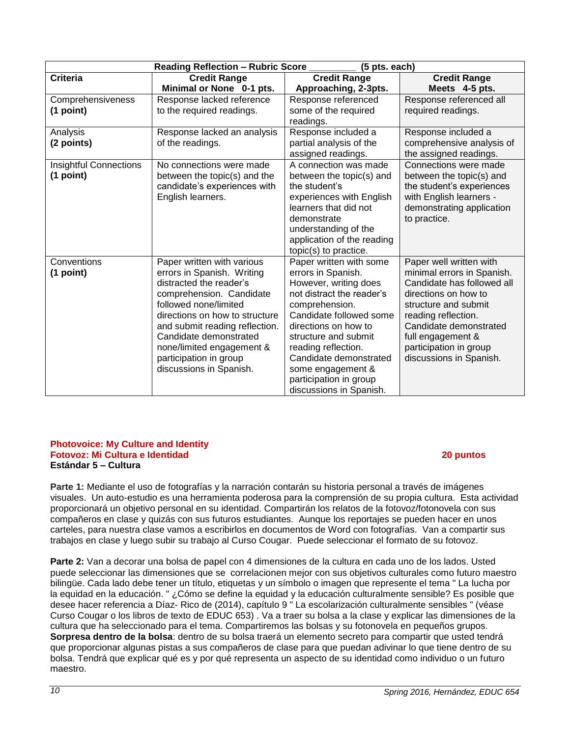| Fotovoz: Mi Cultura e Identidad<br>Estándar 5 – Cultura                                                                                                                                                                                                                                                                                                                                                                                                                                                                                                                                                                                                                                                                                                                        | 20 puntos |
|--------------------------------------------------------------------------------------------------------------------------------------------------------------------------------------------------------------------------------------------------------------------------------------------------------------------------------------------------------------------------------------------------------------------------------------------------------------------------------------------------------------------------------------------------------------------------------------------------------------------------------------------------------------------------------------------------------------------------------------------------------------------------------|-----------|
| Parte 1: Mediante el uso de fotografías y la narración contarán su historia personal a través de imágenes<br>visuales. Un auto-estudio es una herramienta poderosa para la comprensión de su propia cultura. Esta a<br>proporcionará un objetivo personal en su identidad. Compartirán los relatos de la fotovoz/fotonovela con s<br>compañeros en clase y quizás con sus futuros estudiantes. Aunque los reportajes se pueden hacer en un<br>carteles, para nuestra clase vamos a escribirlos en documentos de Word con fotografías. Van a comparti<br>trabajos en clase y luego subir su trabajo al Curso Cougar. Puede seleccionar el formato de su fotovoz.                                                                                                                |           |
| Parte 2: Van a decorar una bolsa de papel con 4 dimensiones de la cultura en cada uno de los lados. Ust<br>puede seleccionar las dimensiones que se correlacionen mejor con sus objetivos culturales como futuro r<br>bilingüe. Cada lado debe tener un título, etiquetas y un símbolo o imagen que represente el tema "La luch<br>la equidad en la educación. "¿Cómo se define la equidad y la educación culturalmente sensible? Es posit<br>desee hacer referencia a Díaz- Rico de (2014), capítulo 9 "La escolarización culturalmente sensibles " (ve<br>Curso Cougar o los libros de texto de EDUC 653). Va a traer su bolsa a la clase y explicar las dimensione<br>cultura que ha seleccionado para el tema. Compartiremos las bolsas y su fotonovela en pequeños grupos |           |

visuales. Un auto-estudio es una herramienta poderosa para la comprensión de su propia cultura. Esta actividad

**Reading Reflection – Rubric Score \_\_\_\_\_\_\_\_\_ (5 pts. each)**

**Credit Range Approaching, 2-3pts.**

Response referenced some of the required

Response included a partial analysis of the assigned readings.

A connection was made between the topic(s) and

experiences with English learners that did not

Paper written with some errors in Spanish. However, writing does not distract the reader's

Candidate followed some directions on how to structure and submit reading reflection. Candidate demonstrated some engagement & participation in group discussions in Spanish.

understanding of the application of the reading topic(s) to practice.

comprehension.

readings.

the student's

demonstrate

**Minimal or None 0-1 pts.**

Response lacked an analysis

No connections were made between the topic(s) and the candidate's experiences with

Paper written with various errors in Spanish. Writing distracted the reader's comprehension. Candidate followed none/limited

directions on how to structure and submit reading reflection. Candidate demonstrated none/limited engagement & participation in group discussions in Spanish.

of the readings.

English learners.

Response lacked reference to the required readings.

**Criteria Credit Range**

Comprehensiveness

Insightful Connections

**Photovoice: My Culture and Identity**

**(1 point)**

Analysis **(2 points)**

**(1 point)**

**Conventions (1 point)**

proporcionará un objetivo personal en su identidad. Compartirán los relatos de la fotovoz/fotonovela con sus compañeros en clase y quizás con sus futuros estudiantes. Aunque los reportajes se pueden hacer en unos carteles, para nuestra clase vamos a escribirlos en documentos de Word con fotografías. Van a compartir sus trabajos en clase y luego subir su trabajo al Curso Cougar. Puede seleccionar el formato de su fotovoz. **Parte 2:** Van a decorar una bolsa de papel con 4 dimensiones de la cultura en cada uno de los lados. Usted

puede seleccionar las dimensiones que se correlacionen mejor con sus objetivos culturales como futuro maestro bilingüe. Cada lado debe tener un título, etiquetas y un símbolo o imagen que represente el tema " La lucha por la equidad en la educación. " ¿Cómo se define la equidad y la educación culturalmente sensible? Es posible que desee hacer referencia a Díaz- Rico de (2014), capítulo 9 " La escolarización culturalmente sensibles " (véase Curso Cougar o los libros de texto de EDUC 653) . Va a traer su bolsa a la clase y explicar las dimensiones de la cultura que ha seleccionado para el tema. Compartiremos las bolsas y su fotonovela en pequeños grupos. **Sorpresa dentro de la bolsa**: dentro de su bolsa traerá un elemento secreto para compartir que usted tendrá que proporcionar algunas pistas a sus compañeros de clase para que puedan adivinar lo que tiene dentro de su bolsa. Tendrá que explicar qué es y por qué representa un aspecto de su identidad como individuo o un futuro maestro.

**Credit Range Meets 4-5 pts.**

Response referenced all required readings.

Response included a comprehensive analysis of the assigned readings.

Connections were made between the topic(s) and the student's experiences with English learners demonstrating application

Paper well written with minimal errors in Spanish. Candidate has followed all directions on how to structure and submit reading reflection. Candidate demonstrated full engagement & participation in group discussions in Spanish.

to practice.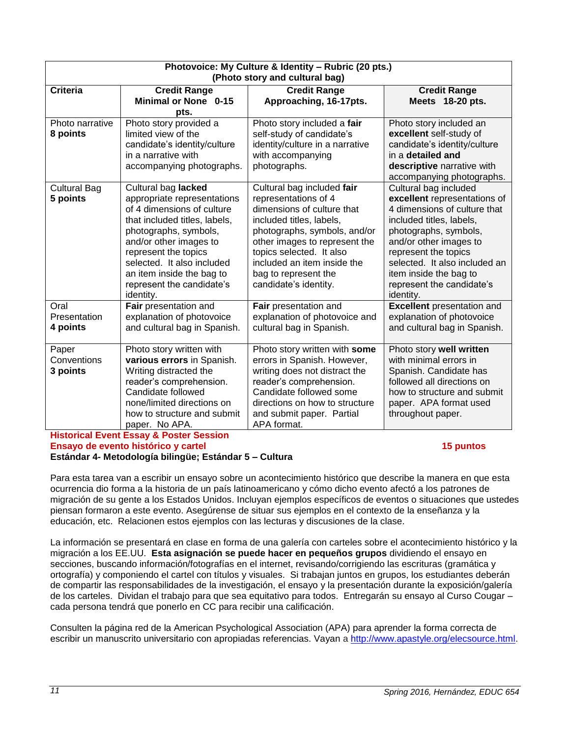| Photovoice: My Culture & Identity - Rubric (20 pts.) |                               |                                 |                                   |
|------------------------------------------------------|-------------------------------|---------------------------------|-----------------------------------|
| (Photo story and cultural bag)                       |                               |                                 |                                   |
| <b>Criteria</b>                                      | <b>Credit Range</b>           | <b>Credit Range</b>             | <b>Credit Range</b>               |
|                                                      | <b>Minimal or None 0-15</b>   | Approaching, 16-17pts.          | Meets 18-20 pts.                  |
|                                                      | pts.                          |                                 |                                   |
| Photo narrative                                      | Photo story provided a        | Photo story included a fair     | Photo story included an           |
| 8 points                                             | limited view of the           | self-study of candidate's       | excellent self-study of           |
|                                                      | candidate's identity/culture  | identity/culture in a narrative | candidate's identity/culture      |
|                                                      | in a narrative with           | with accompanying               | in a detailed and                 |
|                                                      | accompanying photographs.     | photographs.                    | descriptive narrative with        |
|                                                      |                               |                                 | accompanying photographs.         |
| <b>Cultural Bag</b>                                  | Cultural bag lacked           | Cultural bag included fair      | Cultural bag included             |
| 5 points                                             | appropriate representations   | representations of 4            | excellent representations of      |
|                                                      | of 4 dimensions of culture    | dimensions of culture that      | 4 dimensions of culture that      |
|                                                      | that included titles, labels, | included titles, labels,        | included titles, labels,          |
|                                                      | photographs, symbols,         | photographs, symbols, and/or    | photographs, symbols,             |
|                                                      | and/or other images to        | other images to represent the   | and/or other images to            |
|                                                      | represent the topics          | topics selected. It also        | represent the topics              |
|                                                      | selected. It also included    | included an item inside the     | selected. It also included an     |
|                                                      | an item inside the bag to     | bag to represent the            | item inside the bag to            |
|                                                      | represent the candidate's     | candidate's identity.           | represent the candidate's         |
|                                                      | identity.                     |                                 | identity.                         |
| Oral                                                 | Fair presentation and         | Fair presentation and           | <b>Excellent</b> presentation and |
| Presentation                                         | explanation of photovoice     | explanation of photovoice and   | explanation of photovoice         |
| 4 points                                             | and cultural bag in Spanish.  | cultural bag in Spanish.        | and cultural bag in Spanish.      |
| Paper                                                | Photo story written with      | Photo story written with some   | Photo story well written          |
| Conventions                                          | various errors in Spanish.    | errors in Spanish. However,     | with minimal errors in            |
| 3 points                                             | Writing distracted the        | writing does not distract the   | Spanish. Candidate has            |
|                                                      | reader's comprehension.       | reader's comprehension.         | followed all directions on        |
|                                                      | Candidate followed            | Candidate followed some         | how to structure and submit       |
|                                                      | none/limited directions on    | directions on how to structure  | paper. APA format used            |
|                                                      | how to structure and submit   | and submit paper. Partial       | throughout paper.                 |
|                                                      | paper. No APA.                | APA format.                     |                                   |
| <b>Historical Event Essay &amp; Poster Session</b>   |                               |                                 |                                   |

## **Ensayo de evento histórico y cartel 15 puntos**

#### **Estándar 4- Metodología bilingüe; Estándar 5 – Cultura**

Para esta tarea van a escribir un ensayo sobre un acontecimiento histórico que describe la manera en que esta ocurrencia dio forma a la historia de un país latinoamericano y cómo dicho evento afectó a los patrones de migración de su gente a los Estados Unidos. Incluyan ejemplos específicos de eventos o situaciones que ustedes piensan formaron a este evento. Asegúrense de situar sus ejemplos en el contexto de la enseñanza y la educación, etc. Relacionen estos ejemplos con las lecturas y discusiones de la clase.

La información se presentará en clase en forma de una galería con carteles sobre el acontecimiento histórico y la migración a los EE.UU. **Esta asignación se puede hacer en pequeños grupos** dividiendo el ensayo en secciones, buscando información/fotografías en el internet, revisando/corrigiendo las escrituras (gramática y ortografía) y componiendo el cartel con títulos y visuales. Si trabajan juntos en grupos, los estudiantes deberán de compartir las responsabilidades de la investigación, el ensayo y la presentación durante la exposición/galería de los carteles. Dividan el trabajo para que sea equitativo para todos. Entregarán su ensayo al Curso Cougar – cada persona tendrá que ponerlo en CC para recibir una calificación.

Consulten la página red de la American Psychological Association (APA) para aprender la forma correcta de escribir un manuscrito universitario con apropiadas referencias. Vayan a [http://www.apastyle.org/elecsource.html.](http://www.apastyle.org/elecsource.html)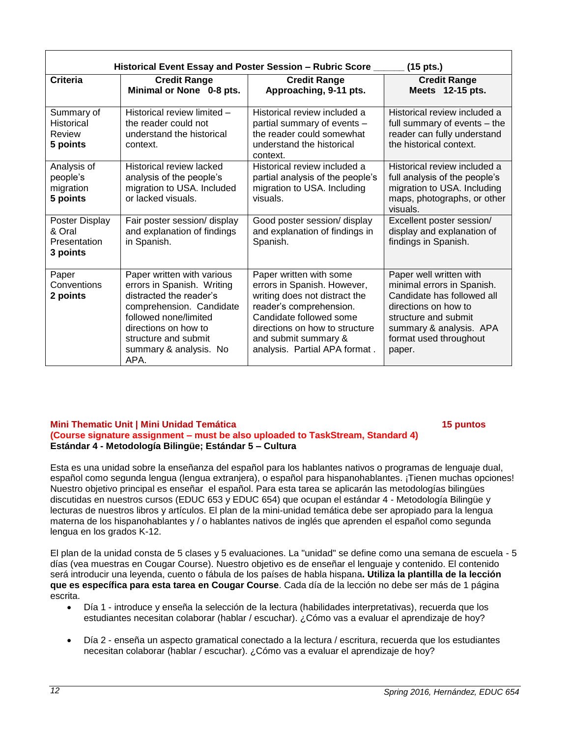| Historical Event Essay and Poster Session - Rubric Score<br>$(15$ pts.) |                                                                                                                                                                                                                            |                                                                                                                                                                                                                                          |                                                                                                                                                                                                    |
|-------------------------------------------------------------------------|----------------------------------------------------------------------------------------------------------------------------------------------------------------------------------------------------------------------------|------------------------------------------------------------------------------------------------------------------------------------------------------------------------------------------------------------------------------------------|----------------------------------------------------------------------------------------------------------------------------------------------------------------------------------------------------|
| <b>Criteria</b>                                                         | <b>Credit Range</b><br>Minimal or None 0-8 pts.                                                                                                                                                                            | <b>Credit Range</b><br>Approaching, 9-11 pts.                                                                                                                                                                                            | <b>Credit Range</b><br>Meets 12-15 pts.                                                                                                                                                            |
| Summary of<br>Historical<br>Review<br>5 points                          | Historical review limited -<br>the reader could not<br>understand the historical<br>context.                                                                                                                               | Historical review included a<br>partial summary of events -<br>the reader could somewhat<br>understand the historical<br>context.                                                                                                        | Historical review included a<br>full summary of events - the<br>reader can fully understand<br>the historical context.                                                                             |
| Analysis of<br>people's<br>migration<br>5 points                        | Historical review lacked<br>analysis of the people's<br>migration to USA. Included<br>or lacked visuals.                                                                                                                   | Historical review included a<br>partial analysis of the people's<br>migration to USA. Including<br>visuals.                                                                                                                              | Historical review included a<br>full analysis of the people's<br>migration to USA. Including<br>maps, photographs, or other<br>visuals.                                                            |
| Poster Display<br>& Oral<br>Presentation<br>3 points                    | Fair poster session/ display<br>and explanation of findings<br>in Spanish.                                                                                                                                                 | Good poster session/ display<br>and explanation of findings in<br>Spanish.                                                                                                                                                               | Excellent poster session/<br>display and explanation of<br>findings in Spanish.                                                                                                                    |
| Paper<br>Conventions<br>2 points                                        | Paper written with various<br>errors in Spanish. Writing<br>distracted the reader's<br>comprehension. Candidate<br>followed none/limited<br>directions on how to<br>structure and submit<br>summary & analysis. No<br>APA. | Paper written with some<br>errors in Spanish. However,<br>writing does not distract the<br>reader's comprehension.<br>Candidate followed some<br>directions on how to structure<br>and submit summary &<br>analysis. Partial APA format. | Paper well written with<br>minimal errors in Spanish.<br>Candidate has followed all<br>directions on how to<br>structure and submit<br>summary & analysis. APA<br>format used throughout<br>paper. |

#### **Mini Thematic Unit | Mini Unidad Temática 15 puntos (Course signature assignment – must be also uploaded to TaskStream, Standard 4) Estándar 4 - Metodología Bilingüe; Estándar 5 – Cultura**

Esta es una unidad sobre la enseñanza del español para los hablantes nativos o programas de lenguaje dual, español como segunda lengua (lengua extranjera), o español para hispanohablantes. ¡Tienen muchas opciones! Nuestro objetivo principal es enseñar el español. Para esta tarea se aplicarán las metodologías bilingües discutidas en nuestros cursos (EDUC 653 y EDUC 654) que ocupan el estándar 4 - Metodología Bilingüe y lecturas de nuestros libros y artículos. El plan de la mini-unidad temática debe ser apropiado para la lengua materna de los hispanohablantes y / o hablantes nativos de inglés que aprenden el español como segunda lengua en los grados K-12.

El plan de la unidad consta de 5 clases y 5 evaluaciones. La "unidad" se define como una semana de escuela - 5 días (vea muestras en Cougar Course). Nuestro objetivo es de enseñar el lenguaje y contenido. El contenido será introducir una leyenda, cuento o fábula de los países de habla hispana**. Utiliza la plantilla de la lección que es específica para esta tarea en Cougar Course**. Cada día de la lección no debe ser más de 1 página escrita.

- Día 1 introduce y enseña la selección de la lectura (habilidades interpretativas), recuerda que los estudiantes necesitan colaborar (hablar / escuchar). ¿Cómo vas a evaluar el aprendizaje de hoy?
- Día 2 enseña un aspecto gramatical conectado a la lectura / escritura, recuerda que los estudiantes necesitan colaborar (hablar / escuchar). ¿Cómo vas a evaluar el aprendizaje de hoy?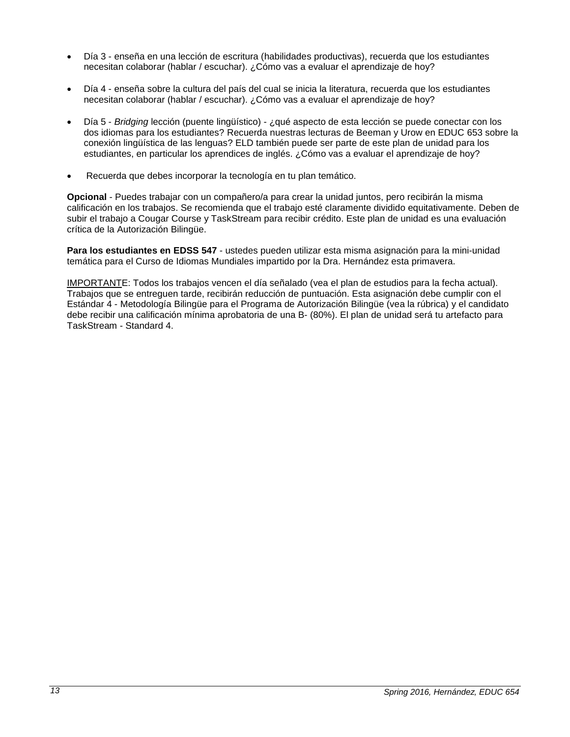- Día 3 enseña en una lección de escritura (habilidades productivas), recuerda que los estudiantes necesitan colaborar (hablar / escuchar). ¿Cómo vas a evaluar el aprendizaje de hoy?
- Día 4 enseña sobre la cultura del país del cual se inicia la literatura, recuerda que los estudiantes necesitan colaborar (hablar / escuchar). ¿Cómo vas a evaluar el aprendizaje de hoy?
- Día 5 *Bridging* lección (puente lingüístico) ¿qué aspecto de esta lección se puede conectar con los dos idiomas para los estudiantes? Recuerda nuestras lecturas de Beeman y Urow en EDUC 653 sobre la conexión lingüística de las lenguas? ELD también puede ser parte de este plan de unidad para los estudiantes, en particular los aprendices de inglés. ¿Cómo vas a evaluar el aprendizaje de hoy?
- Recuerda que debes incorporar la tecnología en tu plan temático.

**Opcional** - Puedes trabajar con un compañero/a para crear la unidad juntos, pero recibirán la misma calificación en los trabajos. Se recomienda que el trabajo esté claramente dividido equitativamente. Deben de subir el trabajo a Cougar Course y TaskStream para recibir crédito. Este plan de unidad es una evaluación crítica de la Autorización Bilingüe.

**Para los estudiantes en EDSS 547** - ustedes pueden utilizar esta misma asignación para la mini-unidad temática para el Curso de Idiomas Mundiales impartido por la Dra. Hernández esta primavera.

IMPORTANTE: Todos los trabajos vencen el día señalado (vea el plan de estudios para la fecha actual). Trabajos que se entreguen tarde, recibirán reducción de puntuación. Esta asignación debe cumplir con el Estándar 4 - Metodología Bilingüe para el Programa de Autorización Bilingüe (vea la rúbrica) y el candidato debe recibir una calificación mínima aprobatoria de una B- (80%). El plan de unidad será tu artefacto para TaskStream - Standard 4.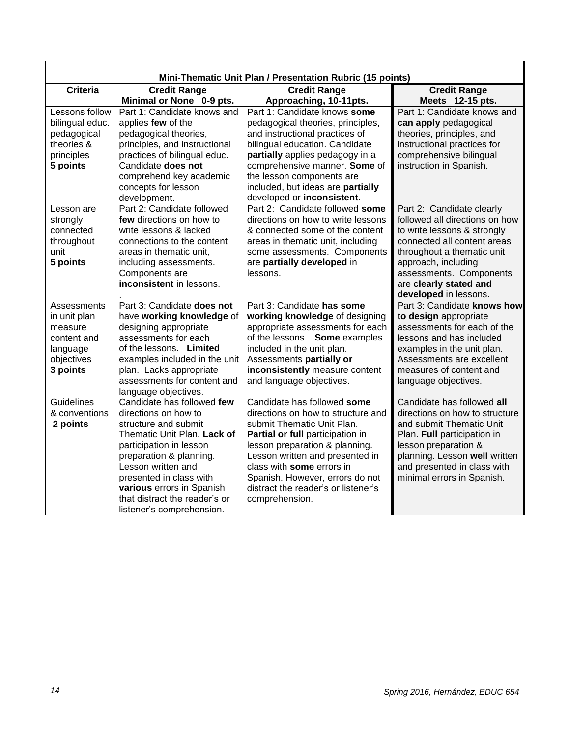| Mini-Thematic Unit Plan / Presentation Rubric (15 points) |                                            |                                                               |                                                             |
|-----------------------------------------------------------|--------------------------------------------|---------------------------------------------------------------|-------------------------------------------------------------|
| <b>Criteria</b>                                           | <b>Credit Range</b>                        | <b>Credit Range</b>                                           | <b>Credit Range</b>                                         |
|                                                           | Minimal or None 0-9 pts.                   | Approaching, 10-11pts.                                        | Meets 12-15 pts.                                            |
| Lessons follow                                            | Part 1: Candidate knows and                | Part 1: Candidate knows some                                  | Part 1: Candidate knows and                                 |
| bilingual educ.                                           | applies few of the                         | pedagogical theories, principles,                             | can apply pedagogical                                       |
| pedagogical                                               | pedagogical theories,                      | and instructional practices of                                | theories, principles, and                                   |
| theories &                                                | principles, and instructional              | bilingual education. Candidate                                | instructional practices for                                 |
| principles                                                | practices of bilingual educ.               | partially applies pedagogy in a                               | comprehensive bilingual                                     |
| 5 points                                                  | Candidate does not                         | comprehensive manner. Some of                                 | instruction in Spanish.                                     |
|                                                           | comprehend key academic                    | the lesson components are                                     |                                                             |
|                                                           | concepts for lesson                        | included, but ideas are partially                             |                                                             |
| Lesson are                                                | development.<br>Part 2: Candidate followed | developed or inconsistent.<br>Part 2: Candidate followed some |                                                             |
| strongly                                                  | few directions on how to                   | directions on how to write lessons                            | Part 2: Candidate clearly<br>followed all directions on how |
| connected                                                 | write lessons & lacked                     | & connected some of the content                               | to write lessons & strongly                                 |
| throughout                                                | connections to the content                 | areas in thematic unit, including                             | connected all content areas                                 |
| unit                                                      | areas in thematic unit,                    | some assessments. Components                                  | throughout a thematic unit                                  |
| 5 points                                                  | including assessments.                     | are partially developed in                                    | approach, including                                         |
|                                                           | Components are                             | lessons.                                                      | assessments. Components                                     |
|                                                           | inconsistent in lessons.                   |                                                               | are clearly stated and                                      |
|                                                           |                                            |                                                               | developed in lessons.                                       |
| <b>Assessments</b>                                        | Part 3: Candidate does not                 | Part 3: Candidate has some                                    | Part 3: Candidate knows how                                 |
| in unit plan                                              | have working knowledge of                  | working knowledge of designing                                | to design appropriate                                       |
| measure                                                   | designing appropriate                      | appropriate assessments for each                              | assessments for each of the                                 |
| content and                                               | assessments for each                       | of the lessons. Some examples                                 | lessons and has included                                    |
| language                                                  | of the lessons. Limited                    | included in the unit plan.                                    | examples in the unit plan.                                  |
| objectives                                                | examples included in the unit              | Assessments partially or                                      | Assessments are excellent                                   |
| 3 points                                                  | plan. Lacks appropriate                    | inconsistently measure content                                | measures of content and                                     |
|                                                           | assessments for content and                | and language objectives.                                      | language objectives.                                        |
|                                                           | language objectives.                       |                                                               |                                                             |
| Guidelines                                                | Candidate has followed few                 | Candidate has followed some                                   | Candidate has followed all                                  |
| & conventions                                             | directions on how to                       | directions on how to structure and                            | directions on how to structure                              |
| 2 points                                                  | structure and submit                       | submit Thematic Unit Plan.                                    | and submit Thematic Unit                                    |
|                                                           | Thematic Unit Plan. Lack of                | Partial or full participation in                              | Plan. Full participation in                                 |
|                                                           | participation in lesson                    | lesson preparation & planning.                                | lesson preparation &                                        |
|                                                           | preparation & planning.                    | Lesson written and presented in                               | planning. Lesson well written                               |
|                                                           | Lesson written and                         | class with some errors in                                     | and presented in class with                                 |
|                                                           | presented in class with                    | Spanish. However, errors do not                               | minimal errors in Spanish.                                  |
|                                                           | various errors in Spanish                  | distract the reader's or listener's                           |                                                             |
|                                                           | that distract the reader's or              | comprehension.                                                |                                                             |
|                                                           | listener's comprehension.                  |                                                               |                                                             |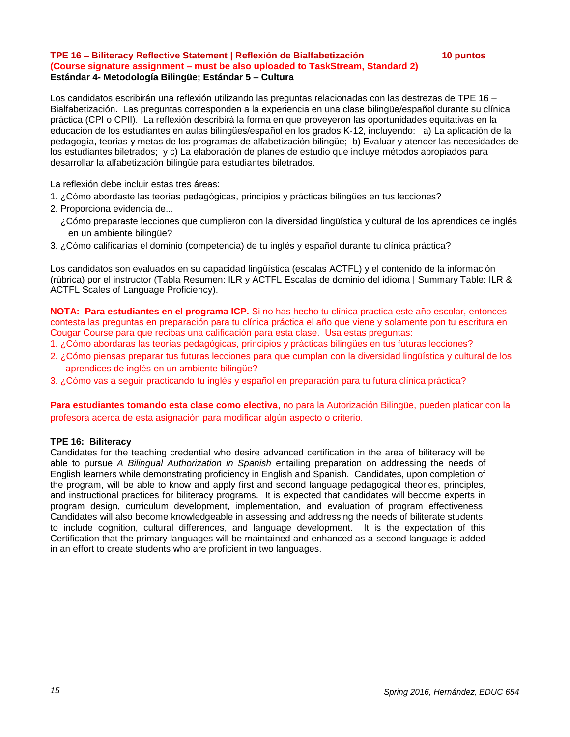#### **TPE 16 – Biliteracy Reflective Statement | Reflexión de Bialfabetización 10 puntos (Course signature assignment – must be also uploaded to TaskStream, Standard 2) Estándar 4- Metodología Bilingüe; Estándar 5 – Cultura**

Los candidatos escribirán una reflexión utilizando las preguntas relacionadas con las destrezas de TPE 16 – Bialfabetización. Las preguntas corresponden a la experiencia en una clase bilingüe/español durante su clínica práctica (CPI o CPII). La reflexión describirá la forma en que proveyeron las oportunidades equitativas en la educación de los estudiantes en aulas bilingües/español en los grados K-12, incluyendo: a) La aplicación de la pedagogía, teorías y metas de los programas de alfabetización bilingüe; b) Evaluar y atender las necesidades de los estudiantes biletrados; y c) La elaboración de planes de estudio que incluye métodos apropiados para desarrollar la alfabetización bilingüe para estudiantes biletrados.

La reflexión debe incluir estas tres áreas:

- 1. ¿Cómo abordaste las teorías pedagógicas, principios y prácticas bilingües en tus lecciones?
- 2. Proporciona evidencia de...
	- ¿Cómo preparaste lecciones que cumplieron con la diversidad lingüística y cultural de los aprendices de inglés en un ambiente bilingüe?
- 3. ¿Cómo calificarías el dominio (competencia) de tu inglés y español durante tu clínica práctica?

Los candidatos son evaluados en su capacidad lingüística (escalas ACTFL) y el contenido de la información (rúbrica) por el instructor (Tabla Resumen: ILR y ACTFL Escalas de dominio del idioma | Summary Table: ILR & ACTFL Scales of Language Proficiency).

**NOTA: Para estudiantes en el programa ICP.** Si no has hecho tu clínica practica este año escolar, entonces contesta las preguntas en preparación para tu clínica práctica el año que viene y solamente pon tu escritura en Cougar Course para que recibas una calificación para esta clase. Usa estas preguntas:

- 1. ¿Cómo abordaras las teorías pedagógicas, principios y prácticas bilingües en tus futuras lecciones?
- 2. ¿Cómo piensas preparar tus futuras lecciones para que cumplan con la diversidad lingüística y cultural de los aprendices de inglés en un ambiente bilingüe?
- 3. ¿Cómo vas a seguir practicando tu inglés y español en preparación para tu futura clínica práctica?

**Para estudiantes tomando esta clase como electiva**, no para la Autorización Bilingüe, pueden platicar con la profesora acerca de esta asignación para modificar algún aspecto o criterio.

#### **TPE 16: Biliteracy**

Candidates for the teaching credential who desire advanced certification in the area of biliteracy will be able to pursue *A Bilingual Authorization in Spanish* entailing preparation on addressing the needs of English learners while demonstrating proficiency in English and Spanish. Candidates, upon completion of the program, will be able to know and apply first and second language pedagogical theories, principles, and instructional practices for biliteracy programs. It is expected that candidates will become experts in program design, curriculum development, implementation, and evaluation of program effectiveness. Candidates will also become knowledgeable in assessing and addressing the needs of biliterate students, to include cognition, cultural differences, and language development. It is the expectation of this Certification that the primary languages will be maintained and enhanced as a second language is added in an effort to create students who are proficient in two languages.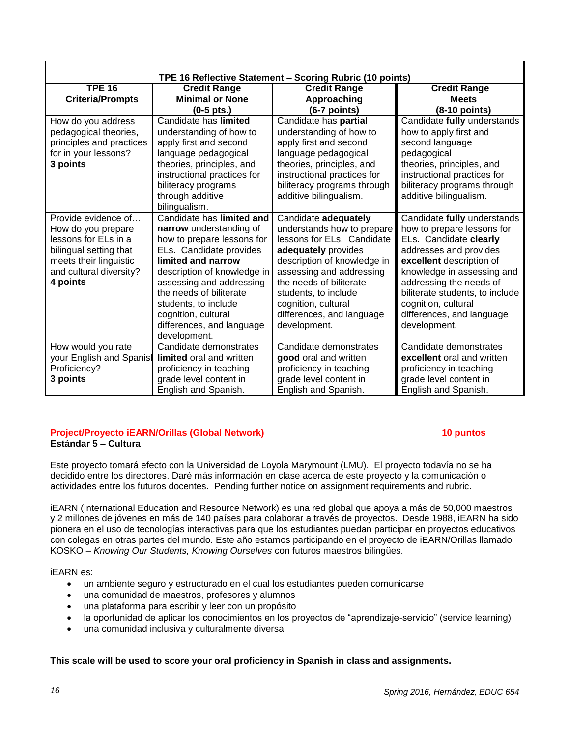| TPE 16 Reflective Statement - Scoring Rubric (10 points)                                                                                                     |                                                                                                                                                                                                                                                                                                                       |                                                                                                                                                                                                                                                                                           |                                                                                                                                                                                                                                                                                                           |  |
|--------------------------------------------------------------------------------------------------------------------------------------------------------------|-----------------------------------------------------------------------------------------------------------------------------------------------------------------------------------------------------------------------------------------------------------------------------------------------------------------------|-------------------------------------------------------------------------------------------------------------------------------------------------------------------------------------------------------------------------------------------------------------------------------------------|-----------------------------------------------------------------------------------------------------------------------------------------------------------------------------------------------------------------------------------------------------------------------------------------------------------|--|
| <b>TPE 16</b>                                                                                                                                                | <b>Credit Range</b>                                                                                                                                                                                                                                                                                                   | <b>Credit Range</b>                                                                                                                                                                                                                                                                       | <b>Credit Range</b>                                                                                                                                                                                                                                                                                       |  |
| <b>Criteria/Prompts</b>                                                                                                                                      | <b>Minimal or None</b>                                                                                                                                                                                                                                                                                                | Approaching                                                                                                                                                                                                                                                                               | <b>Meets</b>                                                                                                                                                                                                                                                                                              |  |
|                                                                                                                                                              | $(0-5 \text{ pts.})$                                                                                                                                                                                                                                                                                                  | (6-7 points)                                                                                                                                                                                                                                                                              | $(8-10$ points)                                                                                                                                                                                                                                                                                           |  |
| How do you address<br>pedagogical theories,<br>principles and practices<br>for in your lessons?<br>3 points                                                  | Candidate has limited<br>understanding of how to<br>apply first and second<br>language pedagogical<br>theories, principles, and<br>instructional practices for<br>biliteracy programs<br>through additive                                                                                                             | Candidate has partial<br>understanding of how to<br>apply first and second<br>language pedagogical<br>theories, principles, and<br>instructional practices for<br>biliteracy programs through<br>additive bilingualism.                                                                   | Candidate fully understands<br>how to apply first and<br>second language<br>pedagogical<br>theories, principles, and<br>instructional practices for<br>biliteracy programs through<br>additive bilingualism.                                                                                              |  |
|                                                                                                                                                              | bilingualism.                                                                                                                                                                                                                                                                                                         |                                                                                                                                                                                                                                                                                           |                                                                                                                                                                                                                                                                                                           |  |
| Provide evidence of<br>How do you prepare<br>lessons for ELs in a<br>bilingual setting that<br>meets their linguistic<br>and cultural diversity?<br>4 points | Candidate has limited and<br>narrow understanding of<br>how to prepare lessons for<br>ELs. Candidate provides<br>limited and narrow<br>description of knowledge in<br>assessing and addressing<br>the needs of biliterate<br>students, to include<br>cognition, cultural<br>differences, and language<br>development. | Candidate adequately<br>understands how to prepare<br>lessons for ELs. Candidate<br>adequately provides<br>description of knowledge in<br>assessing and addressing<br>the needs of biliterate<br>students, to include<br>cognition, cultural<br>differences, and language<br>development. | Candidate fully understands<br>how to prepare lessons for<br>ELs. Candidate clearly<br>addresses and provides<br>excellent description of<br>knowledge in assessing and<br>addressing the needs of<br>biliterate students, to include<br>cognition, cultural<br>differences, and language<br>development. |  |
| How would you rate<br>your English and Spanish<br>Proficiency?<br>3 points                                                                                   | Candidate demonstrates<br>limited oral and written<br>proficiency in teaching<br>grade level content in<br>English and Spanish.                                                                                                                                                                                       | Candidate demonstrates<br>good oral and written<br>proficiency in teaching<br>grade level content in<br>English and Spanish.                                                                                                                                                              | Candidate demonstrates<br>excellent oral and written<br>proficiency in teaching<br>grade level content in<br>English and Spanish.                                                                                                                                                                         |  |

#### **Project/Proyecto iEARN/Orillas (Global Network) 10 puntos Estándar 5 – Cultura**

Este proyecto tomará efecto con la Universidad de Loyola Marymount (LMU). El proyecto todavía no se ha decidido entre los directores. Daré más información en clase acerca de este proyecto y la comunicación o actividades entre los futuros docentes. Pending further notice on assignment requirements and rubric.

iEARN (International Education and Resource Network) es una red global que apoya a más de 50,000 maestros y 2 millones de jóvenes en más de 140 países para colaborar a través de proyectos. Desde 1988, iEARN ha sido pionera en el uso de tecnologías interactivas para que los estudiantes puedan participar en proyectos educativos con colegas en otras partes del mundo. Este año estamos participando en el proyecto de iEARN/Orillas llamado KOSKO – *Knowing Our Students, Knowing Ourselves* con futuros maestros bilingües.

iEARN es:

- un ambiente seguro y estructurado en el cual los estudiantes pueden comunicarse
- una comunidad de maestros, profesores y alumnos
- una plataforma para escribir y leer con un propósito
- la oportunidad de aplicar los conocimientos en los proyectos de "aprendizaje-servicio" (service learning)
- una comunidad inclusiva y culturalmente diversa

## **This scale will be used to score your oral proficiency in Spanish in class and assignments.**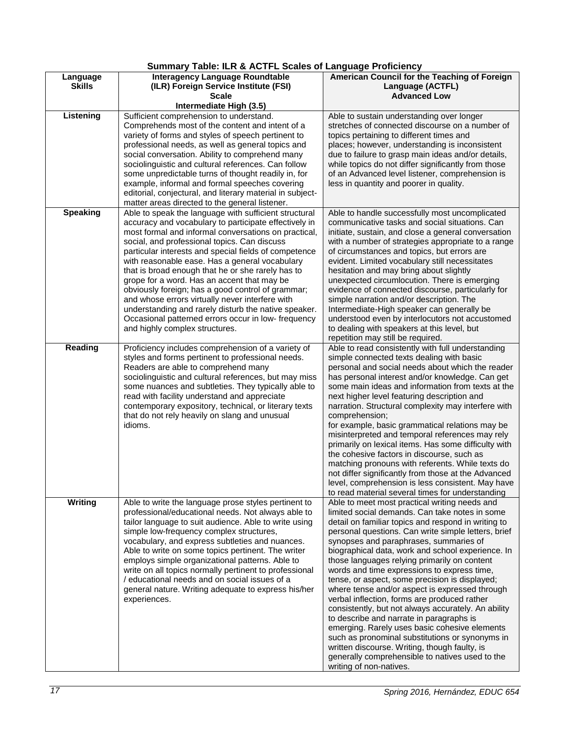## **Summary Table: ILR & ACTFL Scales of Language Proficiency**

| Language<br><b>Skills</b> | <b>Interagency Language Roundtable</b><br>(ILR) Foreign Service Institute (FSI)                                                                                                                                                                                                                                                                                                                                                                                                                                                                                                                                                                                                                | American Council for the Teaching of Foreign<br>Language (ACTFL)                                                                                                                                                                                                                                                                                                                                                                                                                                                                                                                                                                                                                                                                                                                                                                                                                                      |
|---------------------------|------------------------------------------------------------------------------------------------------------------------------------------------------------------------------------------------------------------------------------------------------------------------------------------------------------------------------------------------------------------------------------------------------------------------------------------------------------------------------------------------------------------------------------------------------------------------------------------------------------------------------------------------------------------------------------------------|-------------------------------------------------------------------------------------------------------------------------------------------------------------------------------------------------------------------------------------------------------------------------------------------------------------------------------------------------------------------------------------------------------------------------------------------------------------------------------------------------------------------------------------------------------------------------------------------------------------------------------------------------------------------------------------------------------------------------------------------------------------------------------------------------------------------------------------------------------------------------------------------------------|
|                           | <b>Scale</b><br>Intermediate High (3.5)                                                                                                                                                                                                                                                                                                                                                                                                                                                                                                                                                                                                                                                        | <b>Advanced Low</b>                                                                                                                                                                                                                                                                                                                                                                                                                                                                                                                                                                                                                                                                                                                                                                                                                                                                                   |
| Listening                 | Sufficient comprehension to understand.<br>Comprehends most of the content and intent of a<br>variety of forms and styles of speech pertinent to                                                                                                                                                                                                                                                                                                                                                                                                                                                                                                                                               | Able to sustain understanding over longer<br>stretches of connected discourse on a number of<br>topics pertaining to different times and                                                                                                                                                                                                                                                                                                                                                                                                                                                                                                                                                                                                                                                                                                                                                              |
|                           | professional needs, as well as general topics and<br>social conversation. Ability to comprehend many<br>sociolinguistic and cultural references. Can follow<br>some unpredictable turns of thought readily in, for<br>example, informal and formal speeches covering<br>editorial, conjectural, and literary material in subject-<br>matter areas directed to the general listener.                                                                                                                                                                                                                                                                                                            | places; however, understanding is inconsistent<br>due to failure to grasp main ideas and/or details,<br>while topics do not differ significantly from those<br>of an Advanced level listener, comprehension is<br>less in quantity and poorer in quality.                                                                                                                                                                                                                                                                                                                                                                                                                                                                                                                                                                                                                                             |
| <b>Speaking</b>           | Able to speak the language with sufficient structural<br>accuracy and vocabulary to participate effectively in<br>most formal and informal conversations on practical,<br>social, and professional topics. Can discuss<br>particular interests and special fields of competence<br>with reasonable ease. Has a general vocabulary<br>that is broad enough that he or she rarely has to<br>grope for a word. Has an accent that may be<br>obviously foreign; has a good control of grammar;<br>and whose errors virtually never interfere with<br>understanding and rarely disturb the native speaker.<br>Occasional patterned errors occur in low- frequency<br>and highly complex structures. | Able to handle successfully most uncomplicated<br>communicative tasks and social situations. Can<br>initiate, sustain, and close a general conversation<br>with a number of strategies appropriate to a range<br>of circumstances and topics, but errors are<br>evident. Limited vocabulary still necessitates<br>hesitation and may bring about slightly<br>unexpected circumlocution. There is emerging<br>evidence of connected discourse, particularly for<br>simple narration and/or description. The<br>Intermediate-High speaker can generally be<br>understood even by interlocutors not accustomed<br>to dealing with speakers at this level, but<br>repetition may still be required.                                                                                                                                                                                                       |
| Reading                   | Proficiency includes comprehension of a variety of<br>styles and forms pertinent to professional needs.<br>Readers are able to comprehend many<br>sociolinguistic and cultural references, but may miss<br>some nuances and subtleties. They typically able to<br>read with facility understand and appreciate<br>contemporary expository, technical, or literary texts<br>that do not rely heavily on slang and unusual<br>idioms.                                                                                                                                                                                                                                                            | Able to read consistently with full understanding<br>simple connected texts dealing with basic<br>personal and social needs about which the reader<br>has personal interest and/or knowledge. Can get<br>some main ideas and information from texts at the<br>next higher level featuring description and<br>narration. Structural complexity may interfere with<br>comprehension;<br>for example, basic grammatical relations may be<br>misinterpreted and temporal references may rely<br>primarily on lexical items. Has some difficulty with<br>the cohesive factors in discourse, such as<br>matching pronouns with referents. While texts do<br>not differ significantly from those at the Advanced<br>level, comprehension is less consistent. May have<br>to read material several times for understanding                                                                                    |
| Writing                   | Able to write the language prose styles pertinent to<br>professional/educational needs. Not always able to<br>tailor language to suit audience. Able to write using<br>simple low-frequency complex structures,<br>vocabulary, and express subtleties and nuances.<br>Able to write on some topics pertinent. The writer<br>employs simple organizational patterns. Able to<br>write on all topics normally pertinent to professional<br>/ educational needs and on social issues of a<br>general nature. Writing adequate to express his/her<br>experiences.                                                                                                                                  | Able to meet most practical writing needs and<br>limited social demands. Can take notes in some<br>detail on familiar topics and respond in writing to<br>personal questions. Can write simple letters, brief<br>synopses and paraphrases, summaries of<br>biographical data, work and school experience. In<br>those languages relying primarily on content<br>words and time expressions to express time,<br>tense, or aspect, some precision is displayed;<br>where tense and/or aspect is expressed through<br>verbal inflection, forms are produced rather<br>consistently, but not always accurately. An ability<br>to describe and narrate in paragraphs is<br>emerging. Rarely uses basic cohesive elements<br>such as pronominal substitutions or synonyms in<br>written discourse. Writing, though faulty, is<br>generally comprehensible to natives used to the<br>writing of non-natives. |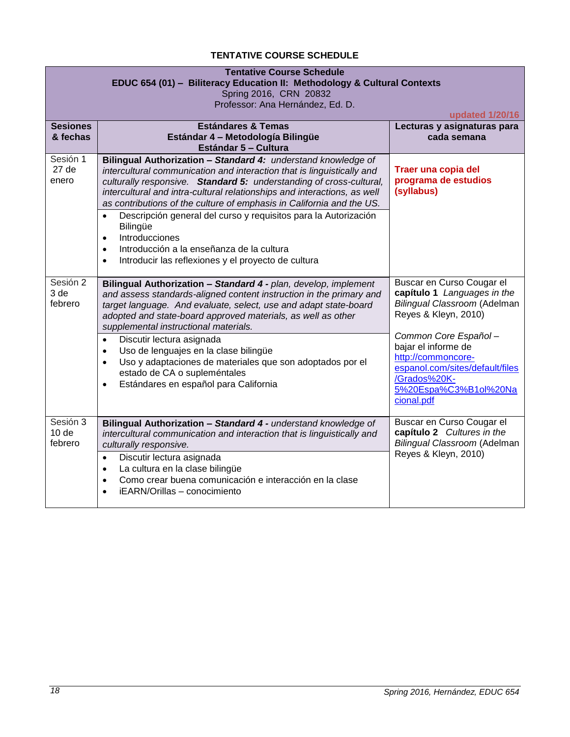## **TENTATIVE COURSE SCHEDULE**

<span id="page-17-0"></span>

| <b>Tentative Course Schedule</b><br>EDUC 654 (01) - Biliteracy Education II: Methodology & Cultural Contexts<br>Spring 2016, CRN 20832<br>Professor: Ana Hernández, Ed. D.<br>updated 1/20/16 |                                                                                                                                                                                                                                                                                                                                                                                                                                                                                                                                                                                                                                     |                                                                                                                                                                                                                                                                                 |  |
|-----------------------------------------------------------------------------------------------------------------------------------------------------------------------------------------------|-------------------------------------------------------------------------------------------------------------------------------------------------------------------------------------------------------------------------------------------------------------------------------------------------------------------------------------------------------------------------------------------------------------------------------------------------------------------------------------------------------------------------------------------------------------------------------------------------------------------------------------|---------------------------------------------------------------------------------------------------------------------------------------------------------------------------------------------------------------------------------------------------------------------------------|--|
| <b>Sesiones</b><br>& fechas                                                                                                                                                                   | <b>Estándares &amp; Temas</b><br>Estándar 4 - Metodología Bilingüe<br>Estándar 5 - Cultura                                                                                                                                                                                                                                                                                                                                                                                                                                                                                                                                          | Lecturas y asignaturas para<br>cada semana                                                                                                                                                                                                                                      |  |
| Sesión 1<br>27 <sub>de</sub><br>enero                                                                                                                                                         | Bilingual Authorization - Standard 4: understand knowledge of<br>intercultural communication and interaction that is linguistically and<br>culturally responsive. Standard 5: understanding of cross-cultural,<br>intercultural and intra-cultural relationships and interactions, as well<br>as contributions of the culture of emphasis in California and the US.<br>Descripción general del curso y requisitos para la Autorización<br>$\bullet$<br><b>Bilingüe</b><br>Introducciones<br>$\bullet$<br>Introducción a la enseñanza de la cultura<br>$\bullet$<br>Introducir las reflexiones y el proyecto de cultura<br>$\bullet$ | Traer una copia del<br>programa de estudios<br>(syllabus)                                                                                                                                                                                                                       |  |
| Sesión 2<br>3 de<br>febrero                                                                                                                                                                   | Bilingual Authorization - Standard 4 - plan, develop, implement<br>and assess standards-aligned content instruction in the primary and<br>target language. And evaluate, select, use and adapt state-board<br>adopted and state-board approved materials, as well as other<br>supplemental instructional materials.<br>Discutir lectura asignada<br>$\bullet$<br>Uso de lenguajes en la clase bilingüe<br>$\bullet$<br>Uso y adaptaciones de materiales que son adoptados por el<br>$\bullet$<br>estado de CA o supleméntales<br>Estándares en español para California<br>$\bullet$                                                 | Buscar en Curso Cougar el<br>capítulo 1 Languages in the<br>Bilingual Classroom (Adelman<br>Reyes & Kleyn, 2010)<br>Common Core Español-<br>bajar el informe de<br>http://commoncore-<br>espanol.com/sites/default/files<br>/Grados%20K-<br>5%20Espa%C3%B1ol%20Na<br>cional.pdf |  |
| Sesión 3<br>10 <sub>de</sub><br>febrero                                                                                                                                                       | Bilingual Authorization - Standard 4 - understand knowledge of<br>intercultural communication and interaction that is linguistically and<br>culturally responsive.<br>Discutir lectura asignada<br>$\bullet$<br>La cultura en la clase bilingüe<br>$\bullet$<br>Como crear buena comunicación e interacción en la clase<br>$\bullet$<br>iEARN/Orillas - conocimiento<br>$\bullet$                                                                                                                                                                                                                                                   | Buscar en Curso Cougar el<br>capítulo 2 Cultures in the<br>Bilingual Classroom (Adelman<br>Reyes & Kleyn, 2010)                                                                                                                                                                 |  |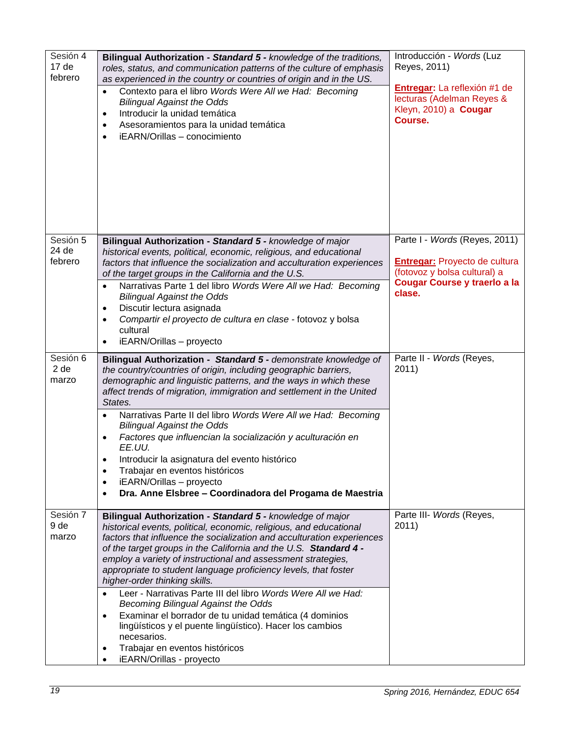| Sesión 4<br>17 <sub>de</sub><br>febrero | Bilingual Authorization - Standard 5 - knowledge of the traditions,<br>roles, status, and communication patterns of the culture of emphasis<br>as experienced in the country or countries of origin and in the US.<br>Contexto para el libro Words Were All we Had: Becoming<br>$\bullet$<br><b>Bilingual Against the Odds</b><br>Introducir la unidad temática<br>$\bullet$<br>Asesoramientos para la unidad temática<br>$\bullet$<br>iEARN/Orillas - conocimiento<br>$\bullet$                                                                                                                                                                                                                                                                                                                  | Introducción - Words (Luz<br>Reyes, 2011)<br>Entregar: La reflexión #1 de<br>lecturas (Adelman Reyes &<br>Kleyn, 2010) a Cougar<br>Course.      |
|-----------------------------------------|---------------------------------------------------------------------------------------------------------------------------------------------------------------------------------------------------------------------------------------------------------------------------------------------------------------------------------------------------------------------------------------------------------------------------------------------------------------------------------------------------------------------------------------------------------------------------------------------------------------------------------------------------------------------------------------------------------------------------------------------------------------------------------------------------|-------------------------------------------------------------------------------------------------------------------------------------------------|
| Sesión 5<br>24 de<br>febrero            | Bilingual Authorization - Standard 5 - knowledge of major<br>historical events, political, economic, religious, and educational<br>factors that influence the socialization and acculturation experiences<br>of the target groups in the California and the U.S.<br>Narrativas Parte 1 del libro Words Were All we Had: Becoming<br>$\bullet$<br><b>Bilingual Against the Odds</b><br>Discutir lectura asignada<br>$\bullet$<br>Compartir el proyecto de cultura en clase - fotovoz y bolsa<br>$\bullet$<br>cultural<br>iEARN/Orillas - proyecto<br>$\bullet$                                                                                                                                                                                                                                     | Parte I - Words (Reyes, 2011)<br><b>Entregar:</b> Proyecto de cultura<br>(fotovoz y bolsa cultural) a<br>Cougar Course y traerlo a la<br>clase. |
| Sesión 6<br>2 de<br>marzo               | Bilingual Authorization - Standard 5 - demonstrate knowledge of<br>the country/countries of origin, including geographic barriers,<br>demographic and linguistic patterns, and the ways in which these<br>affect trends of migration, immigration and settlement in the United<br>States.<br>Narrativas Parte II del libro Words Were All we Had: Becoming<br>$\bullet$<br><b>Bilingual Against the Odds</b><br>Factores que influencian la socialización y aculturación en<br>$\bullet$<br>EE.UU.<br>Introducir la asignatura del evento histórico<br>٠<br>Trabajar en eventos históricos<br>$\bullet$<br>iEARN/Orillas - proyecto<br>$\bullet$<br>Dra. Anne Elsbree - Coordinadora del Progama de Maestria<br>$\bullet$                                                                         | Parte II - Words (Reyes,<br>2011)                                                                                                               |
| Sesión 7<br>9 de<br>marzo               | Bilingual Authorization - Standard 5 - knowledge of major<br>historical events, political, economic, religious, and educational<br>factors that influence the socialization and acculturation experiences<br>of the target groups in the California and the U.S. Standard 4 -<br>employ a variety of instructional and assessment strategies,<br>appropriate to student language proficiency levels, that foster<br>higher-order thinking skills.<br>Leer - Narrativas Parte III del libro Words Were All we Had:<br>$\bullet$<br><b>Becoming Bilingual Against the Odds</b><br>Examinar el borrador de tu unidad temática (4 dominios<br>$\bullet$<br>lingüísticos y el puente lingüístico). Hacer los cambios<br>necesarios.<br>Trabajar en eventos históricos<br>٠<br>iEARN/Orillas - proyecto | Parte III- Words (Reyes,<br>2011)                                                                                                               |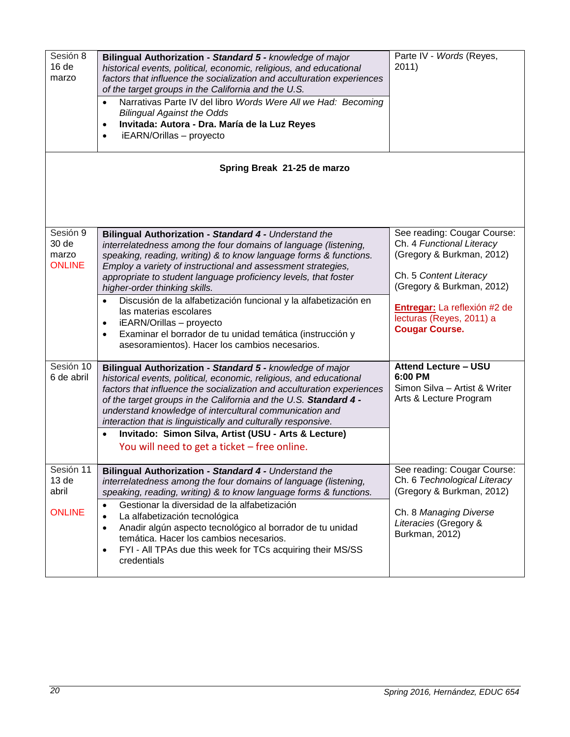| Sesión 8<br>16 <sub>de</sub><br>marzo                   | Bilingual Authorization - Standard 5 - knowledge of major<br>historical events, political, economic, religious, and educational<br>factors that influence the socialization and acculturation experiences<br>of the target groups in the California and the U.S.<br>Narrativas Parte IV del libro Words Were All we Had: Becoming<br>$\bullet$<br><b>Bilingual Against the Odds</b><br>Invitada: Autora - Dra. María de la Luz Reyes<br>$\bullet$<br>iEARN/Orillas - proyecto<br>$\bullet$                                                                                                                                                       | Parte IV - Words (Reyes,<br>2011)                                                                                                                                                                                                 |  |  |  |  |
|---------------------------------------------------------|--------------------------------------------------------------------------------------------------------------------------------------------------------------------------------------------------------------------------------------------------------------------------------------------------------------------------------------------------------------------------------------------------------------------------------------------------------------------------------------------------------------------------------------------------------------------------------------------------------------------------------------------------|-----------------------------------------------------------------------------------------------------------------------------------------------------------------------------------------------------------------------------------|--|--|--|--|
| Spring Break 21-25 de marzo                             |                                                                                                                                                                                                                                                                                                                                                                                                                                                                                                                                                                                                                                                  |                                                                                                                                                                                                                                   |  |  |  |  |
| Sesión 9<br>30 de<br>marzo<br><b>ONLINE</b>             | Bilingual Authorization - Standard 4 - Understand the<br>interrelatedness among the four domains of language (listening,<br>speaking, reading, writing) & to know language forms & functions.<br>Employ a variety of instructional and assessment strategies,<br>appropriate to student language proficiency levels, that foster<br>higher-order thinking skills.<br>Discusión de la alfabetización funcional y la alfabetización en<br>$\bullet$<br>las materias escolares<br>iEARN/Orillas - proyecto<br>$\bullet$<br>Examinar el borrador de tu unidad temática (instrucción y<br>$\bullet$<br>asesoramientos). Hacer los cambios necesarios. | See reading: Cougar Course:<br>Ch. 4 Functional Literacy<br>(Gregory & Burkman, 2012)<br>Ch. 5 Content Literacy<br>(Gregory & Burkman, 2012)<br>Entregar: La reflexión #2 de<br>lecturas (Reyes, 2011) a<br><b>Cougar Course.</b> |  |  |  |  |
| Sesión 10<br>6 de abril                                 | Bilingual Authorization - Standard 5 - knowledge of major<br>historical events, political, economic, religious, and educational<br>factors that influence the socialization and acculturation experiences<br>of the target groups in the California and the U.S. Standard 4 -<br>understand knowledge of intercultural communication and<br>interaction that is linguistically and culturally responsive.<br>Invitado: Simon Silva, Artist (USU - Arts & Lecture)<br>You will need to get a ticket - free online.                                                                                                                                | <b>Attend Lecture - USU</b><br>6:00 PM<br>Simon Silva - Artist & Writer<br>Arts & Lecture Program                                                                                                                                 |  |  |  |  |
| Sesión 11<br>13 <sub>de</sub><br>abril<br><b>ONLINE</b> | Bilingual Authorization - Standard 4 - Understand the<br>interrelatedness among the four domains of language (listening,<br>speaking, reading, writing) & to know language forms & functions.<br>Gestionar la diversidad de la alfabetización<br>$\bullet$<br>La alfabetización tecnológica<br>$\bullet$<br>Anadir algún aspecto tecnológico al borrador de tu unidad<br>$\bullet$<br>temática. Hacer los cambios necesarios.<br>FYI - All TPAs due this week for TCs acquiring their MS/SS<br>$\bullet$<br>credentials                                                                                                                          | See reading: Cougar Course:<br>Ch. 6 Technological Literacy<br>(Gregory & Burkman, 2012)<br>Ch. 8 Managing Diverse<br>Literacies (Gregory &<br>Burkman, 2012)                                                                     |  |  |  |  |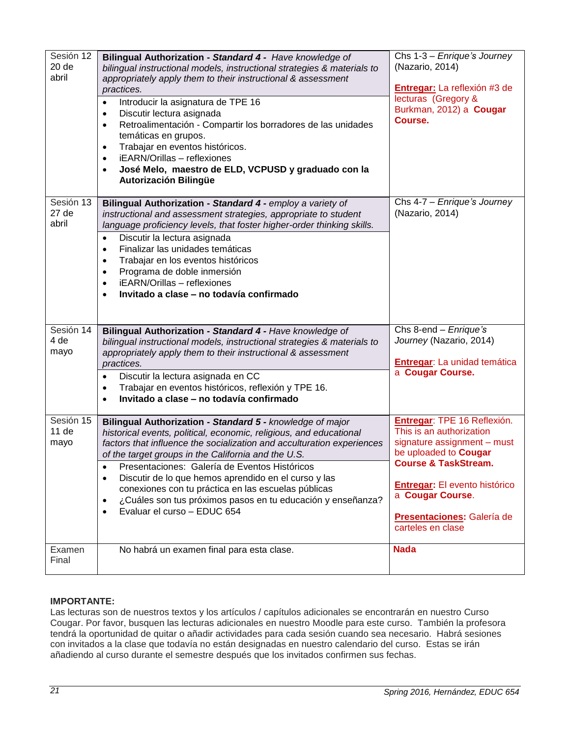| Sesión 12<br>20 de<br>abril | Bilingual Authorization - Standard 4 - Have knowledge of<br>bilingual instructional models, instructional strategies & materials to<br>appropriately apply them to their instructional & assessment<br>practices.<br>Introducir la asignatura de TPE 16<br>$\bullet$<br>Discutir lectura asignada<br>$\bullet$<br>Retroalimentación - Compartir los borradores de las unidades<br>$\bullet$<br>temáticas en grupos.<br>Trabajar en eventos históricos.<br>$\bullet$<br>iEARN/Orillas - reflexiones<br>$\bullet$<br>José Melo, maestro de ELD, VCPUSD y graduado con la<br>$\bullet$<br>Autorización Bilingüe | Chs 1-3 - Enrique's Journey<br>(Nazario, 2014)<br>Entregar: La reflexión #3 de<br>lecturas (Gregory &<br>Burkman, 2012) a Cougar<br>Course.                                                                                                                              |
|-----------------------------|--------------------------------------------------------------------------------------------------------------------------------------------------------------------------------------------------------------------------------------------------------------------------------------------------------------------------------------------------------------------------------------------------------------------------------------------------------------------------------------------------------------------------------------------------------------------------------------------------------------|--------------------------------------------------------------------------------------------------------------------------------------------------------------------------------------------------------------------------------------------------------------------------|
| Sesión 13<br>27 de<br>abril | Bilingual Authorization - Standard 4 - employ a variety of<br>instructional and assessment strategies, appropriate to student<br>language proficiency levels, that foster higher-order thinking skills.<br>Discutir la lectura asignada<br>$\bullet$<br>Finalizar las unidades temáticas<br>$\bullet$<br>Trabajar en los eventos históricos<br>$\bullet$<br>Programa de doble inmersión<br>$\bullet$<br>iEARN/Orillas - reflexiones<br>$\bullet$<br>Invitado a clase - no todavía confirmado<br>$\bullet$                                                                                                    | Chs 4-7 - Enrique's Journey<br>(Nazario, 2014)                                                                                                                                                                                                                           |
| Sesión 14<br>4 de<br>mayo   | Bilingual Authorization - Standard 4 - Have knowledge of<br>bilingual instructional models, instructional strategies & materials to<br>appropriately apply them to their instructional & assessment<br>practices.<br>Discutir la lectura asignada en CC<br>$\bullet$<br>Trabajar en eventos históricos, reflexión y TPE 16.<br>$\bullet$<br>Invitado a clase - no todavía confirmado<br>$\bullet$                                                                                                                                                                                                            | Chs 8-end - Enrique's<br>Journey (Nazario, 2014)<br>Entregar: La unidad temática<br>a Cougar Course.                                                                                                                                                                     |
| Sesión 15<br>11 de<br>mayo  | Bilingual Authorization - Standard 5 - knowledge of major<br>historical events, political, economic, religious, and educational<br>factors that influence the socialization and acculturation experiences<br>of the target groups in the California and the U.S.<br>Presentaciones: Galería de Eventos Históricos<br>Discutir de lo que hemos aprendido en el curso y las<br>$\bullet$<br>conexiones con tu práctica en las escuelas públicas<br>¿Cuáles son tus próximos pasos en tu educación y enseñanza?<br>$\bullet$<br>Evaluar el curso - EDUC 654<br>$\bullet$                                        | Entregar: TPE 16 Reflexión.<br>This is an authorization<br>signature assignment - must<br>be uploaded to <b>Cougar</b><br><b>Course &amp; TaskStream.</b><br><b>Entregar:</b> El evento histórico<br>a Cougar Course.<br>Presentaciones: Galería de<br>carteles en clase |
| Examen<br>Final             | No habrá un examen final para esta clase.                                                                                                                                                                                                                                                                                                                                                                                                                                                                                                                                                                    | <b>Nada</b>                                                                                                                                                                                                                                                              |

## **IMPORTANTE:**

Las lecturas son de nuestros textos y los artículos / capítulos adicionales se encontrarán en nuestro Curso Cougar. Por favor, busquen las lecturas adicionales en nuestro Moodle para este curso. También la profesora tendrá la oportunidad de quitar o añadir actividades para cada sesión cuando sea necesario. Habrá sesiones con invitados a la clase que todavía no están designadas en nuestro calendario del curso. Estas se irán añadiendo al curso durante el semestre después que los invitados confirmen sus fechas.